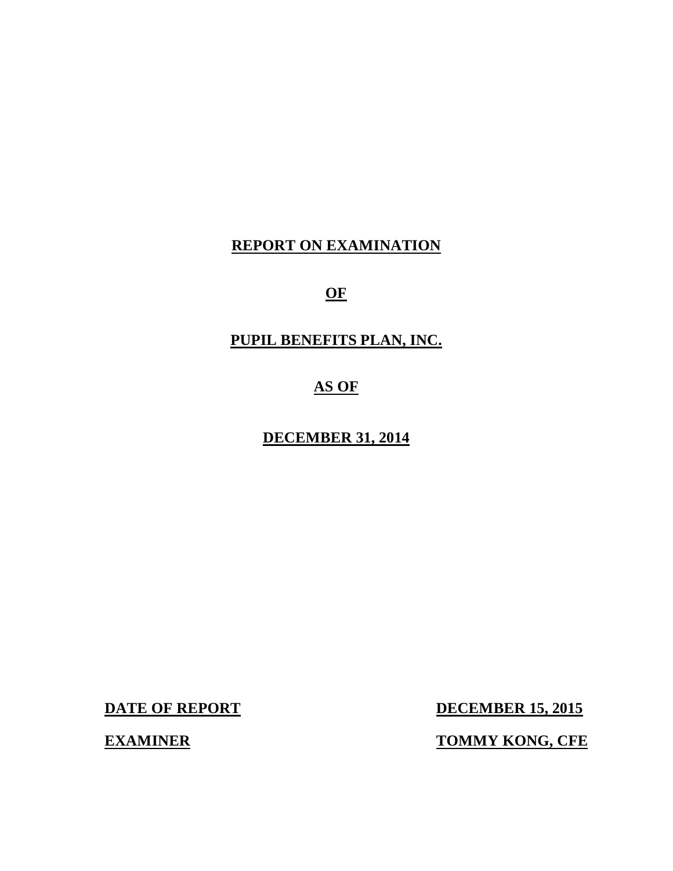## **REPORT ON EXAMINATION**

**OF** 

## **PUPIL BENEFITS PLAN, INC.**

## **AS OF**

## **DECEMBER 31, 2014**

**DATE OF REPORT** 

**DECEMBER 15, 2015** 

**EXAMINER TOMMY KONG, CFE**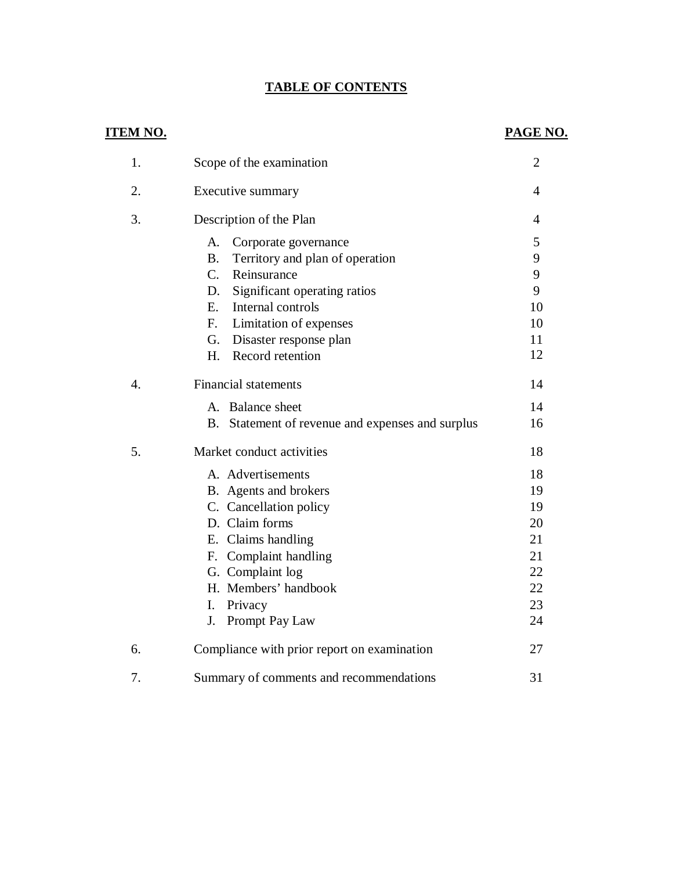#### **TABLE OF CONTENTS**

| <b>ITEM NO.</b>  |                                                            | PAGE NO.       |
|------------------|------------------------------------------------------------|----------------|
| 1.               | Scope of the examination                                   | $\overline{2}$ |
| 2.               | Executive summary                                          | $\overline{4}$ |
| 3.               | Description of the Plan                                    | $\overline{4}$ |
|                  | A.<br>Corporate governance                                 | 5              |
|                  | <b>B.</b><br>Territory and plan of operation               | 9              |
|                  | $C_{\cdot}$<br>Reinsurance                                 | 9              |
|                  | Significant operating ratios<br>D.                         | 9              |
|                  | Internal controls<br>$E_{\cdot}$                           | 10             |
|                  | Limitation of expenses<br>$F_{\cdot}$                      | 10             |
|                  | G. Disaster response plan                                  | 11             |
|                  | Record retention<br>H.                                     | 12             |
| $\overline{4}$ . | <b>Financial statements</b>                                | 14             |
|                  | A. Balance sheet                                           | 14             |
|                  | <b>B.</b><br>Statement of revenue and expenses and surplus | 16             |
| 5.               | Market conduct activities                                  | 18             |
|                  | A. Advertisements                                          | 18             |
|                  | B. Agents and brokers                                      | 19             |
|                  | C. Cancellation policy                                     | 19             |
|                  | D. Claim forms                                             | 20             |
|                  | E. Claims handling                                         | 21             |
|                  | F. Complaint handling                                      | 21             |
|                  | G. Complaint log                                           | 22             |
|                  | H. Members' handbook                                       | 22             |
|                  | Privacy<br>I.                                              | 23             |
|                  | Prompt Pay Law<br>J.                                       | 24             |
| 6.               | Compliance with prior report on examination                | 27             |
| 7.               | Summary of comments and recommendations                    | 31             |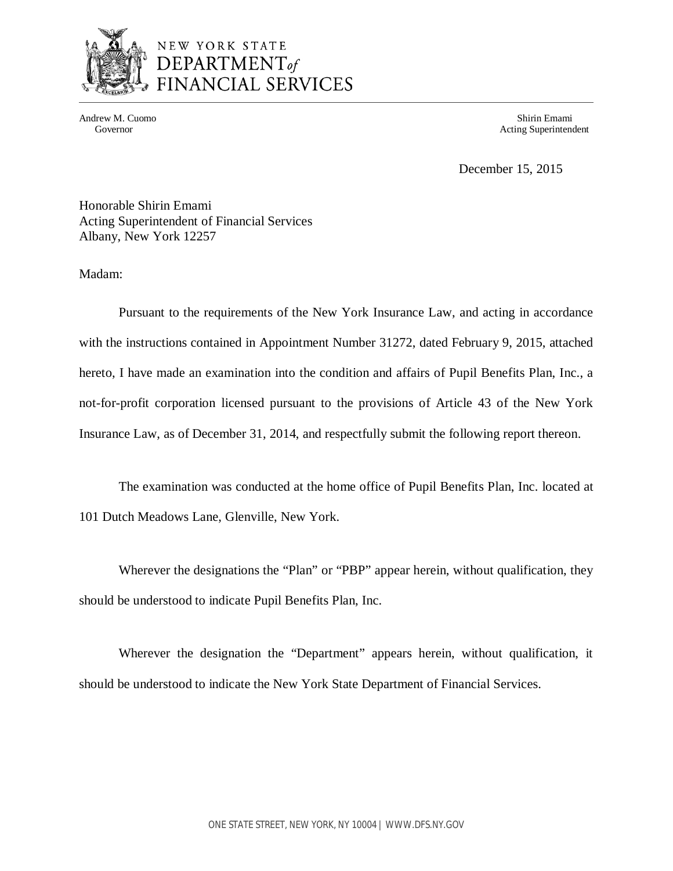

Andrew M. Cuomo Shirin Emami Governor **Acting Superintendent** Acting Superintendent

December 15, 2015

 Honorable Shirin Emami Acting Superintendent of Financial Services Albany, New York 12257

Madam:

 Pursuant to the requirements of the New York Insurance Law, and acting in accordance with the instructions contained in Appointment Number 31272, dated February 9, 2015, attached hereto, I have made an examination into the condition and affairs of Pupil Benefits Plan, Inc., a not-for-profit corporation licensed pursuant to the provisions of Article 43 of the New York Insurance Law, as of December 31, 2014, and respectfully submit the following report thereon.

 The examination was conducted at the home office of Pupil Benefits Plan, Inc. located at 101 Dutch Meadows Lane, Glenville, New York.

 Wherever the designations the "Plan" or "PBP" appear herein, without qualification, they should be understood to indicate Pupil Benefits Plan, Inc.

 Wherever the designation the "Department" appears herein, without qualification, it should be understood to indicate the New York State Department of Financial Services.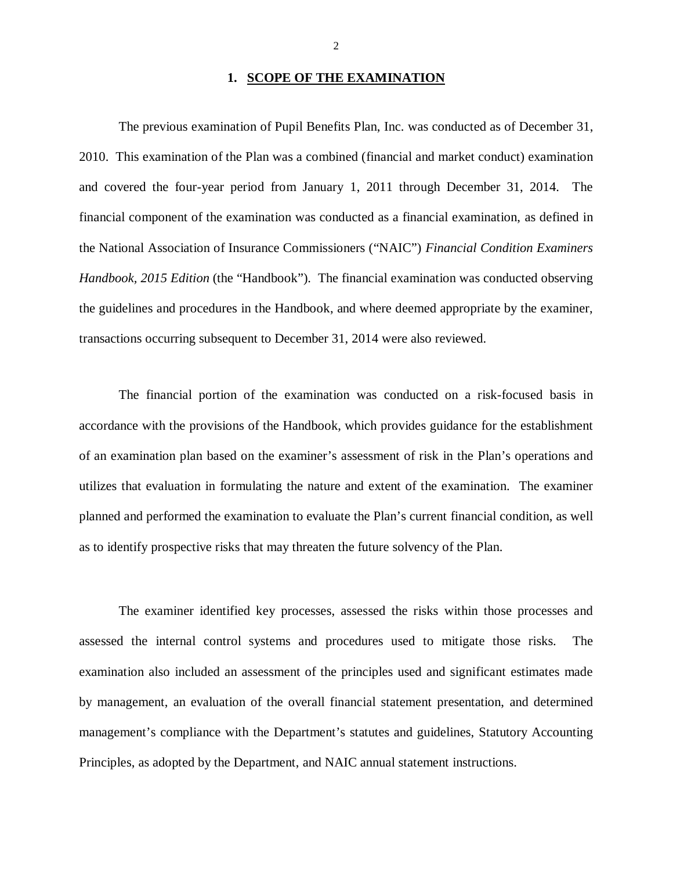#### **1. SCOPE OF THE EXAMINATION**

 The previous examination of Pupil Benefits Plan, Inc. was conducted as of December 31, 2010. This examination of the Plan was a combined (financial and market conduct) examination and covered the four-year period from January 1, 2011 through December 31, 2014. The financial component of the examination was conducted as a financial examination, as defined in the National Association of Insurance Commissioners ("NAIC") *Financial Condition Examiners*  Handbook, 2015 Edition (the "Handbook"). The financial examination was conducted observing the guidelines and procedures in the Handbook, and where deemed appropriate by the examiner, transactions occurring subsequent to December 31, 2014 were also reviewed.

 The financial portion of the examination was conducted on a risk-focused basis in accordance with the provisions of the Handbook, which provides guidance for the establishment of an examination plan based on the examiner's assessment of risk in the Plan's operations and utilizes that evaluation in formulating the nature and extent of the examination. The examiner planned and performed the examination to evaluate the Plan's current financial condition, as well as to identify prospective risks that may threaten the future solvency of the Plan.

 The examiner identified key processes, assessed the risks within those processes and assessed the internal control systems and procedures used to mitigate those risks. The examination also included an assessment of the principles used and significant estimates made by management, an evaluation of the overall financial statement presentation, and determined management's compliance with the Department's statutes and guidelines, Statutory Accounting Principles, as adopted by the Department, and NAIC annual statement instructions.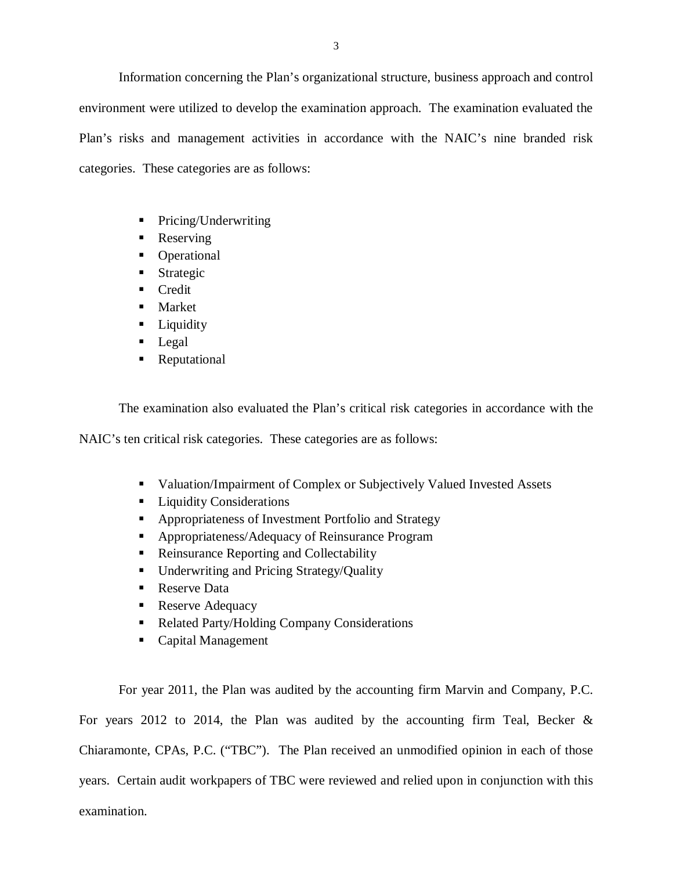Information concerning the Plan's organizational structure, business approach and control environment were utilized to develop the examination approach. The examination evaluated the Plan's risks and management activities in accordance with the NAIC's nine branded risk categories. These categories are as follows:

- Pricing/Underwriting
- Reserving
- Operational
- **Strategic**
- Credit
- **Market**
- **Liquidity**
- **Legal**
- **Reputational**

The examination also evaluated the Plan's critical risk categories in accordance with the

NAIC's ten critical risk categories. These categories are as follows:

- **Valuation/Impairment of Complex or Subjectively Valued Invested Assets**
- **Liquidity Considerations**
- **Appropriateness of Investment Portfolio and Strategy**
- **Appropriateness/Adequacy of Reinsurance Program**
- Reinsurance Reporting and Collectability
- **Underwriting and Pricing Strategy/Quality**
- Reserve Data
- Reserve Adequacy
- Related Party/Holding Company Considerations
- Capital Management

 For year 2011, the Plan was audited by the accounting firm Marvin and Company, P.C. For years 2012 to 2014, the Plan was audited by the accounting firm Teal, Becker & Chiaramonte, CPAs, P.C. ("TBC"). The Plan received an unmodified opinion in each of those years. Certain audit workpapers of TBC were reviewed and relied upon in conjunction with this examination.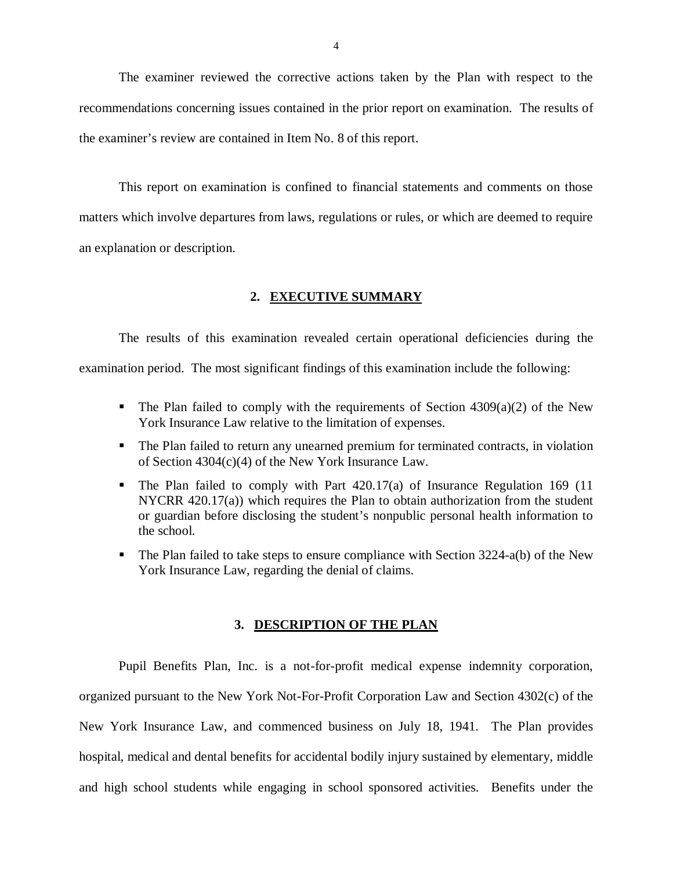The examiner reviewed the corrective actions taken by the Plan with respect to the recommendations concerning issues contained in the prior report on examination. The results of the examiner's review are contained in Item No. 8 of this report.

 This report on examination is confined to financial statements and comments on those matters which involve departures from laws, regulations or rules, or which are deemed to require an explanation or description.

#### **2. EXECUTIVE SUMMARY**

 The results of this examination revealed certain operational deficiencies during the examination period. The most significant findings of this examination include the following:

- The Plan failed to comply with the requirements of Section  $4309(a)(2)$  of the New York Insurance Law relative to the limitation of expenses.
- The Plan failed to return any unearned premium for terminated contracts, in violation of Section 4304(c)(4) of the New York Insurance Law.
- The Plan failed to comply with Part 420.17(a) of Insurance Regulation 169 (11 NYCRR 420.17(a)) which requires the Plan to obtain authorization from the student or guardian before disclosing the student's nonpublic personal health information to the school.
- The Plan failed to take steps to ensure compliance with Section 3224-a(b) of the New York Insurance Law, regarding the denial of claims.

#### **3. DESCRIPTION OF THE PLAN**

 Pupil Benefits Plan, Inc. is a not-for-profit medical expense indemnity corporation, organized pursuant to the New York Not-For-Profit Corporation Law and Section 4302(c) of the New York Insurance Law, and commenced business on July 18, 1941. The Plan provides hospital, medical and dental benefits for accidental bodily injury sustained by elementary, middle and high school students while engaging in school sponsored activities. Benefits under the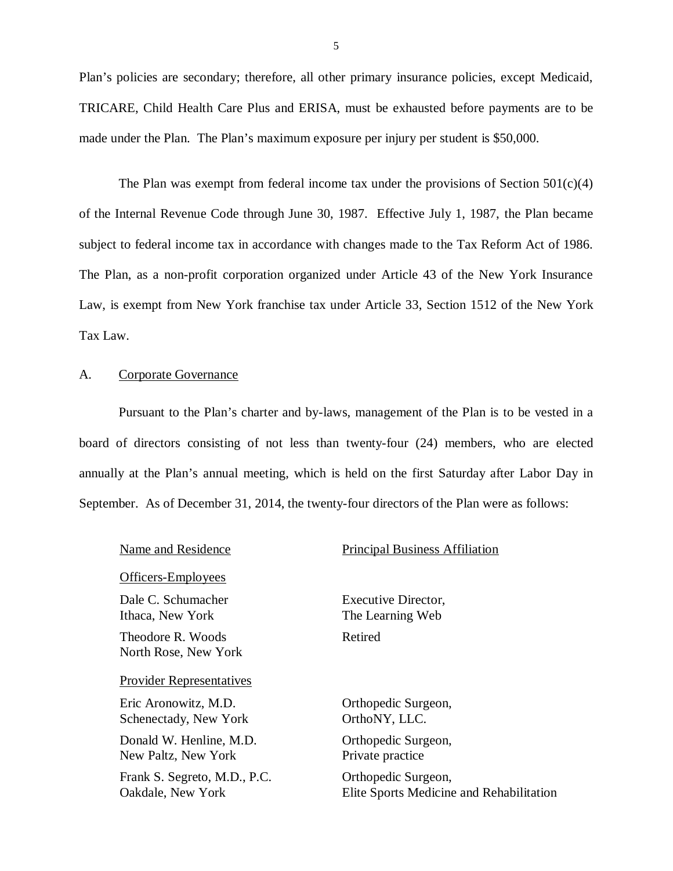Plan's policies are secondary; therefore, all other primary insurance policies, except Medicaid, TRICARE, Child Health Care Plus and ERISA, must be exhausted before payments are to be made under the Plan. The Plan's maximum exposure per injury per student is \$50,000.

The Plan was exempt from federal income tax under the provisions of Section  $501(c)(4)$  of the Internal Revenue Code through June 30, 1987. Effective July 1, 1987, the Plan became subject to federal income tax in accordance with changes made to the Tax Reform Act of 1986. The Plan, as a non-profit corporation organized under Article 43 of the New York Insurance Law, is exempt from New York franchise tax under Article 33, Section 1512 of the New York Tax Law.

#### A. Corporate Governance

 Pursuant to the Plan's charter and by-laws, management of the Plan is to be vested in a board of directors consisting of not less than twenty-four (24) members, who are elected annually at the Plan's annual meeting, which is held on the first Saturday after Labor Day in September. As of December 31, 2014, the twenty-four directors of the Plan were as follows:

| Name and Residence                                | <b>Principal Business Affiliation</b>                           |
|---------------------------------------------------|-----------------------------------------------------------------|
| Officers-Employees                                |                                                                 |
| Dale C. Schumacher<br>Ithaca, New York            | Executive Director,<br>The Learning Web                         |
| Theodore R. Woods<br>North Rose, New York         | Retired                                                         |
| <b>Provider Representatives</b>                   |                                                                 |
| Eric Aronowitz, M.D.<br>Schenectady, New York     | Orthopedic Surgeon,<br>OrthoNY, LLC.                            |
| Donald W. Henline, M.D.<br>New Paltz, New York    | Orthopedic Surgeon,<br>Private practice                         |
| Frank S. Segreto, M.D., P.C.<br>Oakdale, New York | Orthopedic Surgeon,<br>Elite Sports Medicine and Rehabilitation |
|                                                   |                                                                 |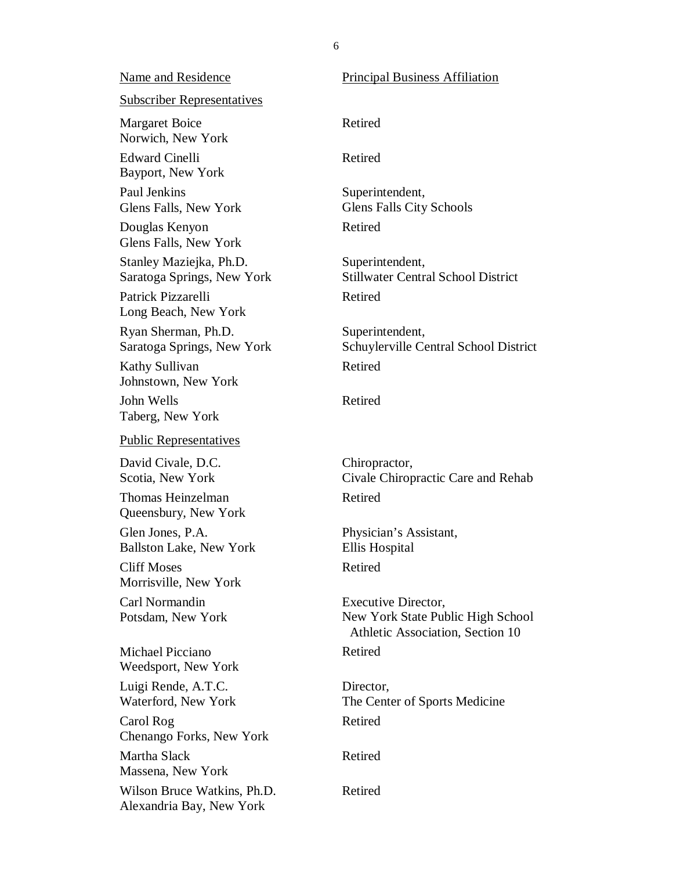Margaret Boice Norwich, New York Bayport, New York Paul Jenkins Glens Falls, New York Douglas Kenyon Glens Falls, New York Stanley Maziejka, Ph.D. Saratoga Springs, New York Long Beach, New York Ryan Sherman, Ph.D. Saratoga Springs, New York Kathy Sullivan Johnstown, New York John Wells Taberg, New York David Civale, D.C. Scotia, New York Thomas Heinzelman Queensbury, New York Glen Jones, P.A. Ballston Lake, New York Cliff Moses Morrisville, New York Carl Normandin Potsdam, New York Michael Picciano Weedsport, New York Luigi Rende, A.T.C. Waterford, New York Name and Residence Subscriber Representatives Edward Cinelli Patrick Pizzarelli Public Representatives

 Carol Rog Chenango Forks, New York Martha Slack Massena, New York Wilson Bruce Watkins, Ph.D. Alexandria Bay, New York

 Principal Business Affiliation Physician's Assistant, Ellis Hospital Executive Director, New York State Public High School Athletic Association, Section 10 Retired Retired Superintendent, Glens Falls City Schools Retired Superintendent, Stillwater Central School District Retired Superintendent, Schuylerville Central School District Retired Retired Chiropractor, Civale Chiropractic Care and Rehab Retired Retired Retired Director, The Center of Sports Medicine Retired Retired

Retired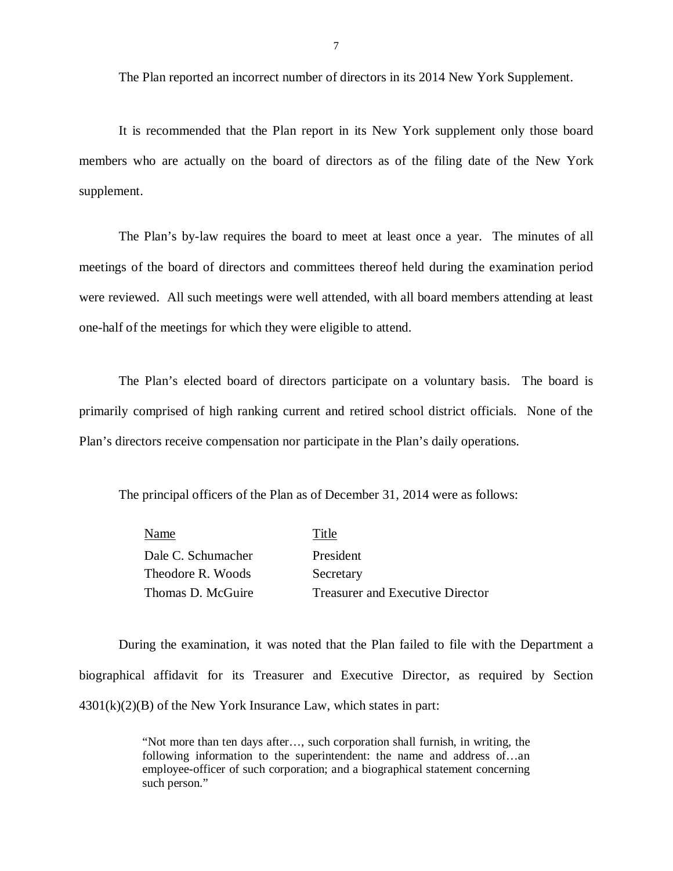The Plan reported an incorrect number of directors in its 2014 New York Supplement.

 It is recommended that the Plan report in its New York supplement only those board members who are actually on the board of directors as of the filing date of the New York supplement.

 The Plan's by-law requires the board to meet at least once a year. The minutes of all meetings of the board of directors and committees thereof held during the examination period were reviewed. All such meetings were well attended, with all board members attending at least one-half of the meetings for which they were eligible to attend.

 The Plan's elected board of directors participate on a voluntary basis. The board is primarily comprised of high ranking current and retired school district officials. None of the Plan's directors receive compensation nor participate in the Plan's daily operations.

The principal officers of the Plan as of December 31, 2014 were as follows:

| Name               | Title                            |
|--------------------|----------------------------------|
| Dale C. Schumacher | President                        |
| Theodore R. Woods  | Secretary                        |
| Thomas D. McGuire  | Treasurer and Executive Director |

 During the examination, it was noted that the Plan failed to file with the Department a biographical affidavit for its Treasurer and Executive Director, as required by Section 4301(k)(2)(B) of the New York Insurance Law, which states in part:

> "Not more than ten days after…, such corporation shall furnish, in writing, the following information to the superintendent: the name and address of…an employee-officer of such corporation; and a biographical statement concerning such person."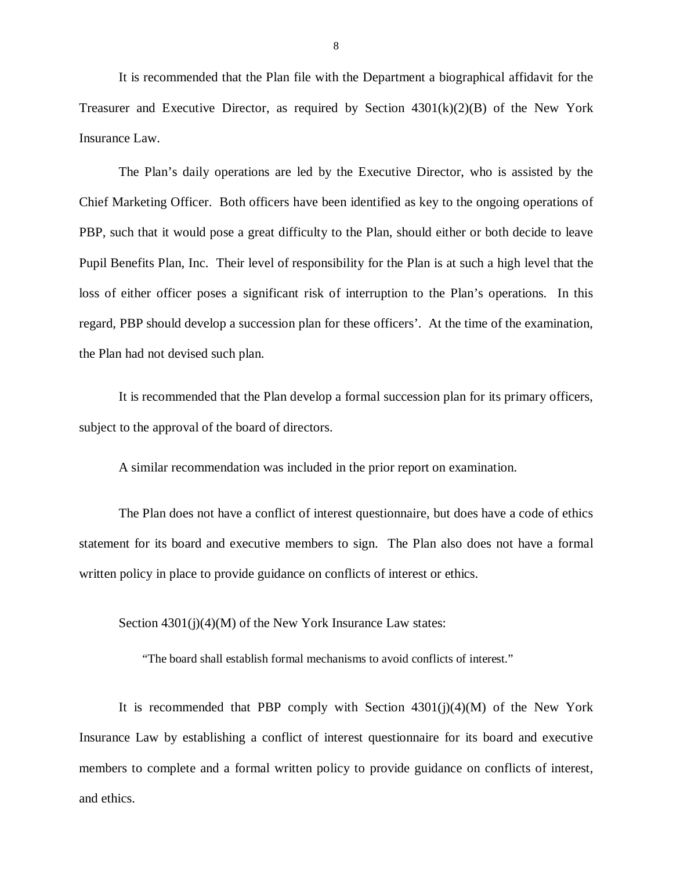It is recommended that the Plan file with the Department a biographical affidavit for the Treasurer and Executive Director, as required by Section  $4301(k)(2)(B)$  of the New York Insurance Law.

 The Plan's daily operations are led by the Executive Director, who is assisted by the Chief Marketing Officer. Both officers have been identified as key to the ongoing operations of PBP, such that it would pose a great difficulty to the Plan, should either or both decide to leave Pupil Benefits Plan, Inc. Their level of responsibility for the Plan is at such a high level that the loss of either officer poses a significant risk of interruption to the Plan's operations. In this regard, PBP should develop a succession plan for these officers'. At the time of the examination, the Plan had not devised such plan.

 It is recommended that the Plan develop a formal succession plan for its primary officers, subject to the approval of the board of directors.

A similar recommendation was included in the prior report on examination.

 The Plan does not have a conflict of interest questionnaire, but does have a code of ethics statement for its board and executive members to sign. The Plan also does not have a formal written policy in place to provide guidance on conflicts of interest or ethics.

Section 4301(j)(4)(M) of the New York Insurance Law states:

"The board shall establish formal mechanisms to avoid conflicts of interest."

 It is recommended that PBP comply with Section 4301(j)(4)(M) of the New York Insurance Law by establishing a conflict of interest questionnaire for its board and executive members to complete and a formal written policy to provide guidance on conflicts of interest, and ethics.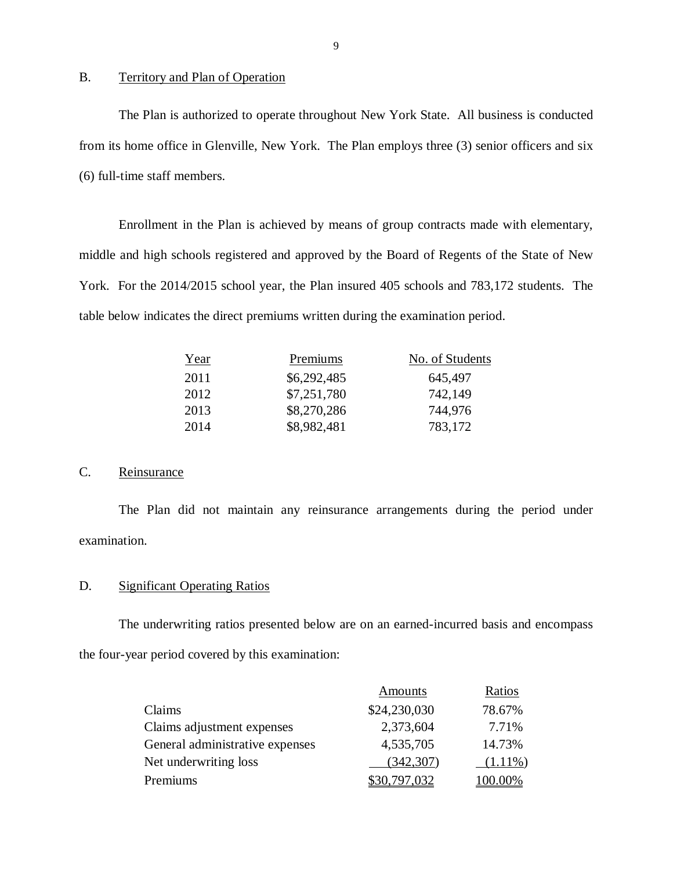#### B. Territory and Plan of Operation

 The Plan is authorized to operate throughout New York State. All business is conducted from its home office in Glenville, New York. The Plan employs three (3) senior officers and six (6) full-time staff members.

 Enrollment in the Plan is achieved by means of group contracts made with elementary, middle and high schools registered and approved by the Board of Regents of the State of New York. For the 2014/2015 school year, the Plan insured 405 schools and 783,172 students. The table below indicates the direct premiums written during the examination period.

| Year | Premiums    | No. of Students |
|------|-------------|-----------------|
| 2011 | \$6,292,485 | 645,497         |
| 2012 | \$7,251,780 | 742,149         |
| 2013 | \$8,270,286 | 744,976         |
| 2014 | \$8,982,481 | 783,172         |

#### C. Reinsurance

 The Plan did not maintain any reinsurance arrangements during the period under examination.

#### D. Significant Operating Ratios

 The underwriting ratios presented below are on an earned-incurred basis and encompass the four-year period covered by this examination:

|                                 | Amounts      | Ratios     |
|---------------------------------|--------------|------------|
| Claims                          | \$24,230,030 | 78.67%     |
| Claims adjustment expenses      | 2,373,604    | 7.71%      |
| General administrative expenses | 4,535,705    | 14.73%     |
| Net underwriting loss           | (342, 307)   | $(1.11\%)$ |
| Premiums                        | \$30.797.032 | 100.00%    |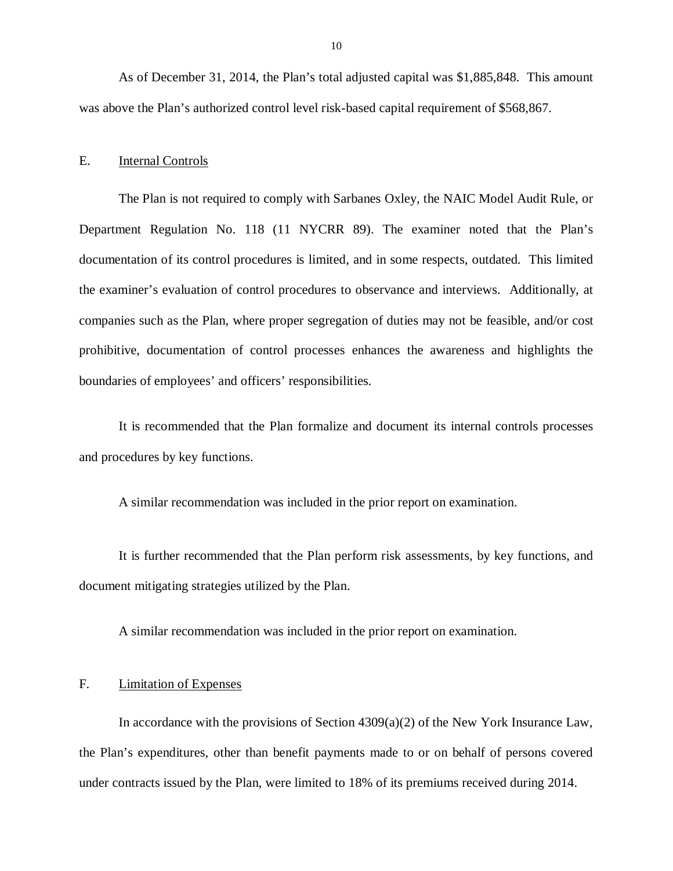As of December 31, 2014, the Plan's total adjusted capital was \$1,885,848. This amount was above the Plan's authorized control level risk-based capital requirement of \$568,867.

#### $E_{\perp}$ **Internal Controls**

 The Plan is not required to comply with Sarbanes Oxley, the NAIC Model Audit Rule, or Department Regulation No. 118 (11 NYCRR 89). The examiner noted that the Plan's documentation of its control procedures is limited, and in some respects, outdated. This limited the examiner's evaluation of control procedures to observance and interviews. Additionally, at companies such as the Plan, where proper segregation of duties may not be feasible, and/or cost prohibitive, documentation of control processes enhances the awareness and highlights the boundaries of employees' and officers' responsibilities.

 It is recommended that the Plan formalize and document its internal controls processes and procedures by key functions.

A similar recommendation was included in the prior report on examination.

 It is further recommended that the Plan perform risk assessments, by key functions, and document mitigating strategies utilized by the Plan.

A similar recommendation was included in the prior report on examination.

#### F. Limitation of Expenses

 In accordance with the provisions of Section 4309(a)(2) of the New York Insurance Law, the Plan's expenditures, other than benefit payments made to or on behalf of persons covered under contracts issued by the Plan, were limited to 18% of its premiums received during 2014.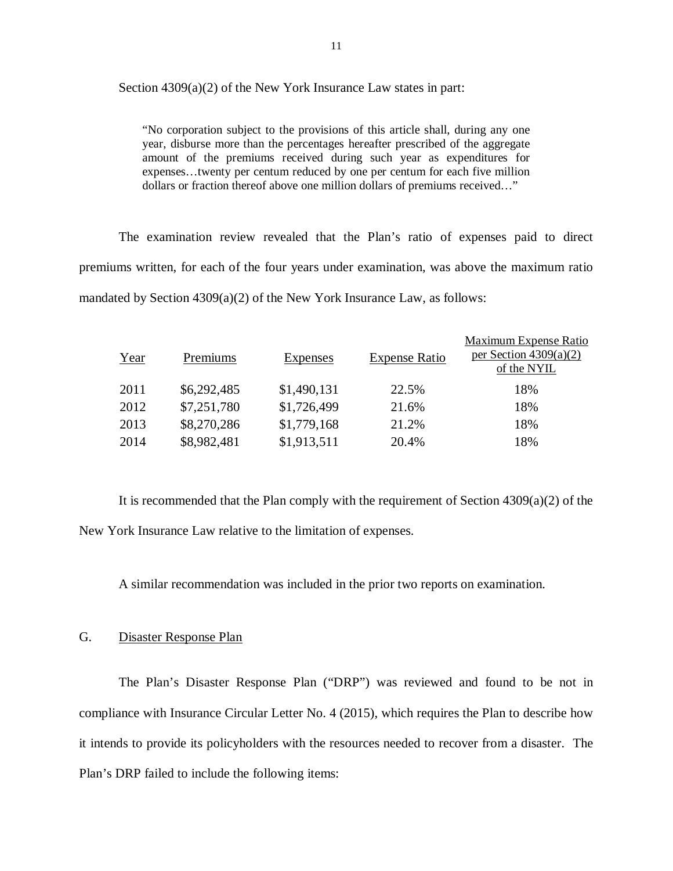Section 4309(a)(2) of the New York Insurance Law states in part:

 "No corporation subject to the provisions of this article shall, during any one year, disburse more than the percentages hereafter prescribed of the aggregate amount of the premiums received during such year as expenditures for expenses…twenty per centum reduced by one per centum for each five million dollars or fraction thereof above one million dollars of premiums received…"

 The examination review revealed that the Plan's ratio of expenses paid to direct premiums written, for each of the four years under examination, was above the maximum ratio mandated by Section 4309(a)(2) of the New York Insurance Law, as follows:

| Year | Premiums    | <b>Expenses</b> | <b>Expense Ratio</b> | Maximum Expense Ratio<br>per Section $4309(a)(2)$<br>of the NYIL |
|------|-------------|-----------------|----------------------|------------------------------------------------------------------|
| 2011 | \$6,292,485 | \$1,490,131     | 22.5%                | 18%                                                              |
| 2012 | \$7,251,780 | \$1,726,499     | 21.6%                | 18%                                                              |
| 2013 | \$8,270,286 | \$1,779,168     | 21.2%                | 18%                                                              |
| 2014 | \$8,982,481 | \$1,913,511     | 20.4%                | 18%                                                              |

 It is recommended that the Plan comply with the requirement of Section 4309(a)(2) of the New York Insurance Law relative to the limitation of expenses.

A similar recommendation was included in the prior two reports on examination.

#### G. Disaster Response Plan

 The Plan's Disaster Response Plan ("DRP") was reviewed and found to be not in compliance with Insurance Circular Letter No. 4 (2015), which requires the Plan to describe how it intends to provide its policyholders with the resources needed to recover from a disaster. The Plan's DRP failed to include the following items: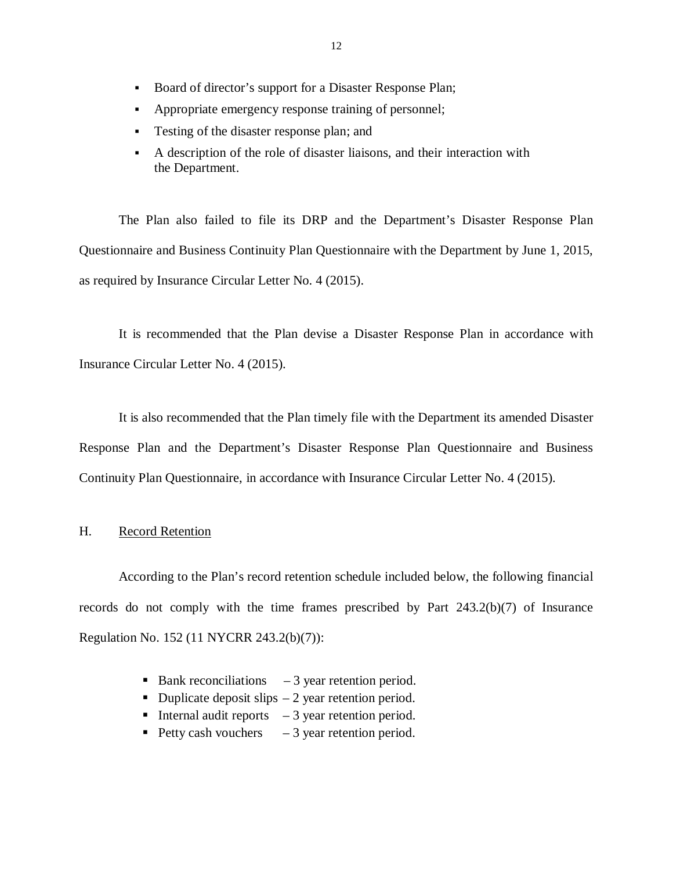- Board of director's support for a Disaster Response Plan;
- Appropriate emergency response training of personnel;
- **Testing of the disaster response plan; and**
- A description of the role of disaster liaisons, and their interaction with the Department.

 The Plan also failed to file its DRP and the Department's Disaster Response Plan Questionnaire and Business Continuity Plan Questionnaire with the Department by June 1, 2015, as required by Insurance Circular Letter No. 4 (2015).

 It is recommended that the Plan devise a Disaster Response Plan in accordance with Insurance Circular Letter No. 4 (2015).

 It is also recommended that the Plan timely file with the Department its amended Disaster Response Plan and the Department's Disaster Response Plan Questionnaire and Business Continuity Plan Questionnaire, in accordance with Insurance Circular Letter No. 4 (2015).

#### H. Record Retention

 According to the Plan's record retention schedule included below, the following financial records do not comply with the time frames prescribed by Part 243.2(b)(7) of Insurance Regulation No. 152 (11 NYCRR 243.2(b)(7)):

- Bank reconciliations  $-3$  year retention period.
- Duplicate deposit slips  $-2$  year retention period.
- Internal audit reports  $-3$  year retention period.
- Petty cash vouchers  $-3$  year retention period.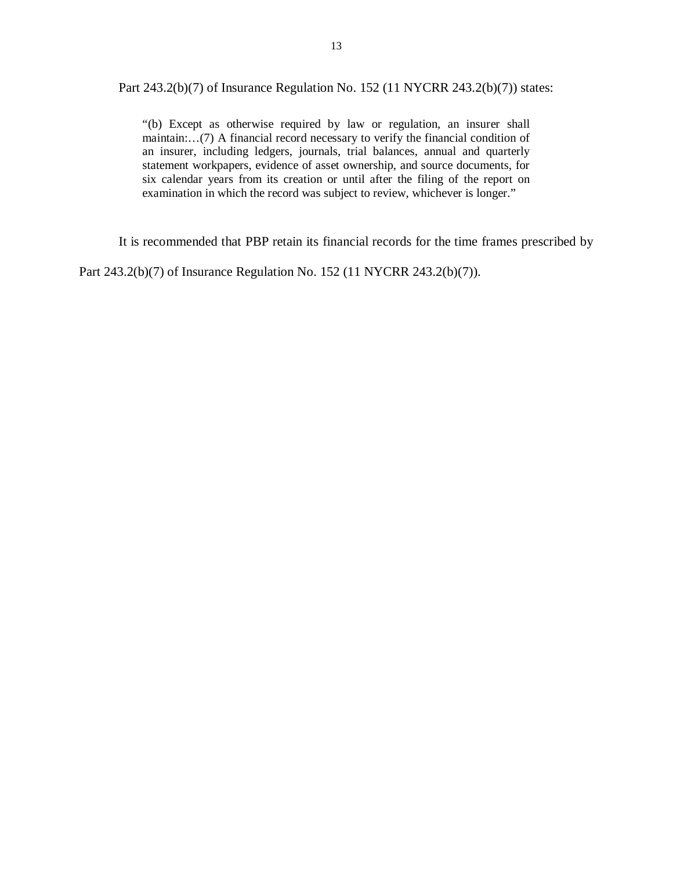Part 243.2(b)(7) of Insurance Regulation No. 152 (11 NYCRR 243.2(b)(7)) states:

 "(b) Except as otherwise required by law or regulation, an insurer shall maintain:…(7) A financial record necessary to verify the financial condition of an insurer, including ledgers, journals, trial balances, annual and quarterly statement workpapers, evidence of asset ownership, and source documents, for six calendar years from its creation or until after the filing of the report on examination in which the record was subject to review, whichever is longer."

It is recommended that PBP retain its financial records for the time frames prescribed by

Part 243.2(b)(7) of Insurance Regulation No. 152 (11 NYCRR 243.2(b)(7)).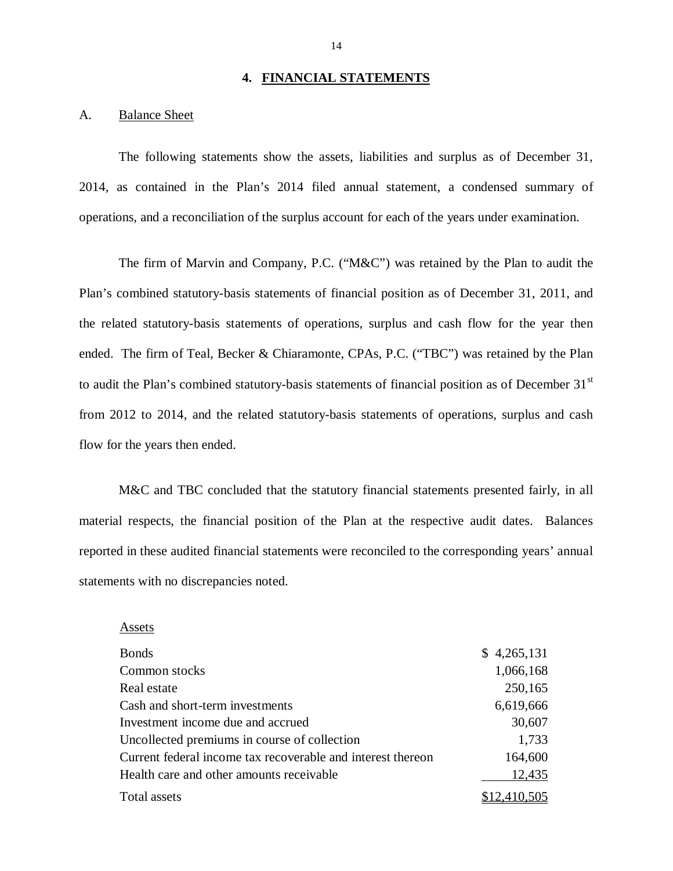#### **4. FINANCIAL STATEMENTS**

#### A. Balance Sheet

 The following statements show the assets, liabilities and surplus as of December 31, 2014, as contained in the Plan's 2014 filed annual statement, a condensed summary of operations, and a reconciliation of the surplus account for each of the years under examination.

 The firm of Marvin and Company, P.C. ("M&C") was retained by the Plan to audit the Plan's combined statutory-basis statements of financial position as of December 31, 2011, and the related statutory-basis statements of operations, surplus and cash flow for the year then ended. The firm of Teal, Becker & Chiaramonte, CPAs, P.C. ("TBC") was retained by the Plan to audit the Plan's combined statutory-basis statements of financial position as of December 31<sup>st</sup> from 2012 to 2014, and the related statutory-basis statements of operations, surplus and cash flow for the years then ended.

 M&C and TBC concluded that the statutory financial statements presented fairly, in all material respects, the financial position of the Plan at the respective audit dates. Balances reported in these audited financial statements were reconciled to the corresponding years' annual statements with no discrepancies noted.

| 3onds                          |
|--------------------------------|
| Common stocks                  |
| Real estate                    |
| Cash and short-term investment |

Assets

 Bonds \$ 4,265,131 Investment income due and accrued 30,607 Uncollected premiums in course of collection 1,733 Current federal income tax recoverable and interest thereon 164,600 Health care and other amounts receivable 12,435 **Total assets** Common stocks 1,066,168 Real estate 250,165 Cash and short-term investments 6,619,666  $$12,410,505$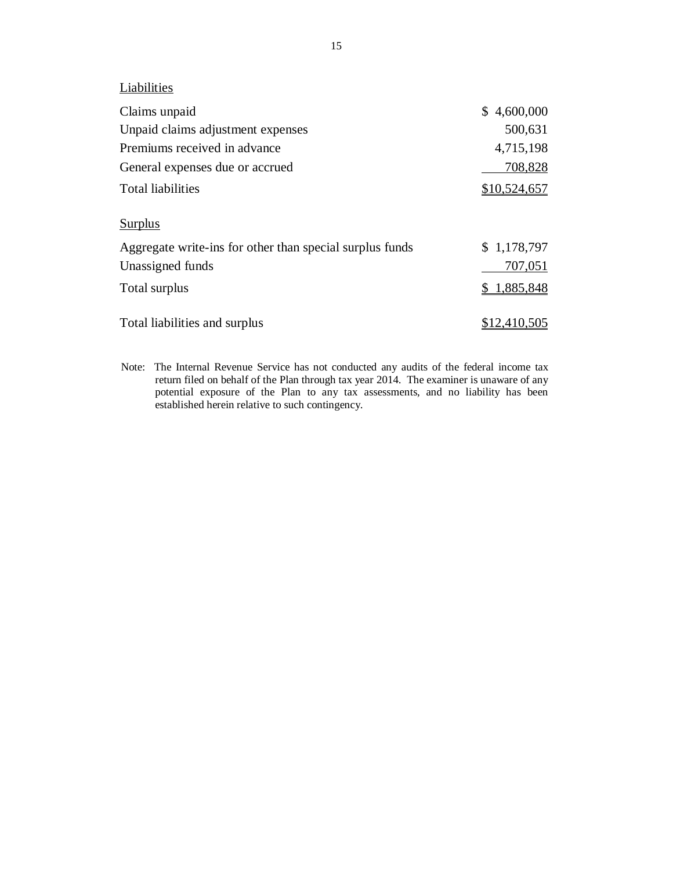**Liabilities** 

| Claims unpaid                                            | \$4,600,000         |
|----------------------------------------------------------|---------------------|
| Unpaid claims adjustment expenses                        | 500,631             |
| Premiums received in advance                             | 4,715,198           |
| General expenses due or accrued                          | 708,828             |
| <b>Total liabilities</b>                                 | \$10,524,657        |
| Surplus                                                  |                     |
| Aggregate write-ins for other than special surplus funds | \$1,178,797         |
| Unassigned funds                                         | 707,051             |
| Total surplus                                            | 1,885,848           |
| Total liabilities and surplus                            | <u>\$12,410,505</u> |

 Note: The Internal Revenue Service has not conducted any audits of the federal income tax return filed on behalf of the Plan through tax year 2014. The examiner is unaware of any potential exposure of the Plan to any tax assessments, and no liability has been established herein relative to such contingency.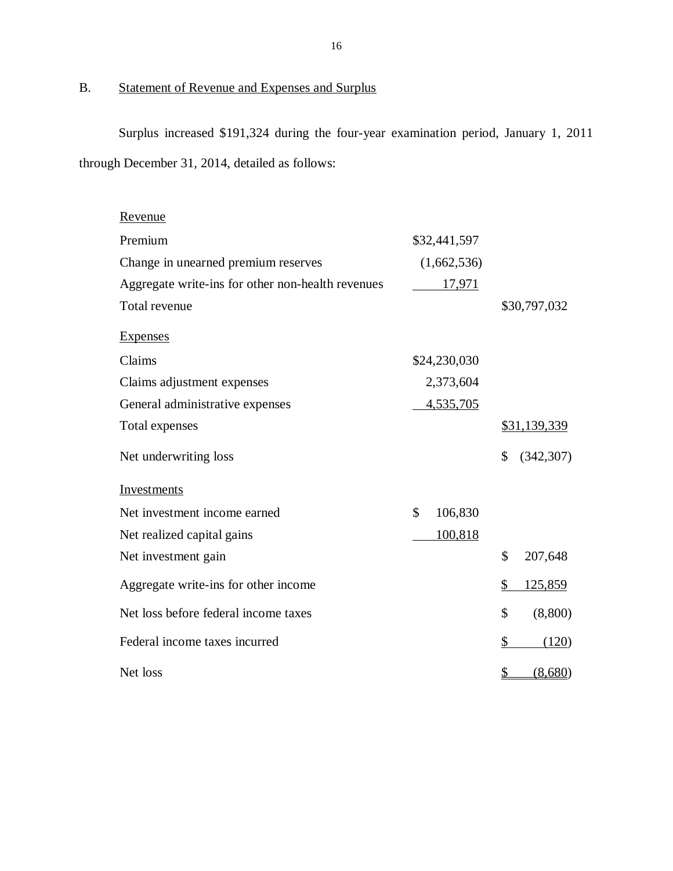#### B. Statement of Revenue and Expenses and Surplus

 Surplus increased \$191,324 during the four-year examination period, January 1, 2011 through December 31, 2014, detailed as follows:

| Revenue                                           |               |                     |
|---------------------------------------------------|---------------|---------------------|
| Premium                                           | \$32,441,597  |                     |
| Change in unearned premium reserves               | (1,662,536)   |                     |
| Aggregate write-ins for other non-health revenues | 17,971        |                     |
| Total revenue                                     |               | \$30,797,032        |
| <b>Expenses</b>                                   |               |                     |
| Claims                                            | \$24,230,030  |                     |
| Claims adjustment expenses                        | 2,373,604     |                     |
| General administrative expenses                   | 4,535,705     |                     |
| Total expenses                                    |               | <u>\$31,139,339</u> |
| Net underwriting loss                             |               | \$<br>(342, 307)    |
| <b>Investments</b>                                |               |                     |
| Net investment income earned                      | \$<br>106,830 |                     |
| Net realized capital gains                        | 100,818       |                     |
| Net investment gain                               |               | \$<br>207,648       |
| Aggregate write-ins for other income              |               | 125,859<br>\$       |
| Net loss before federal income taxes              |               | \$<br>(8,800)       |
| Federal income taxes incurred                     |               | \$<br>(120)         |
| Net loss                                          |               | \$<br>(8,680)       |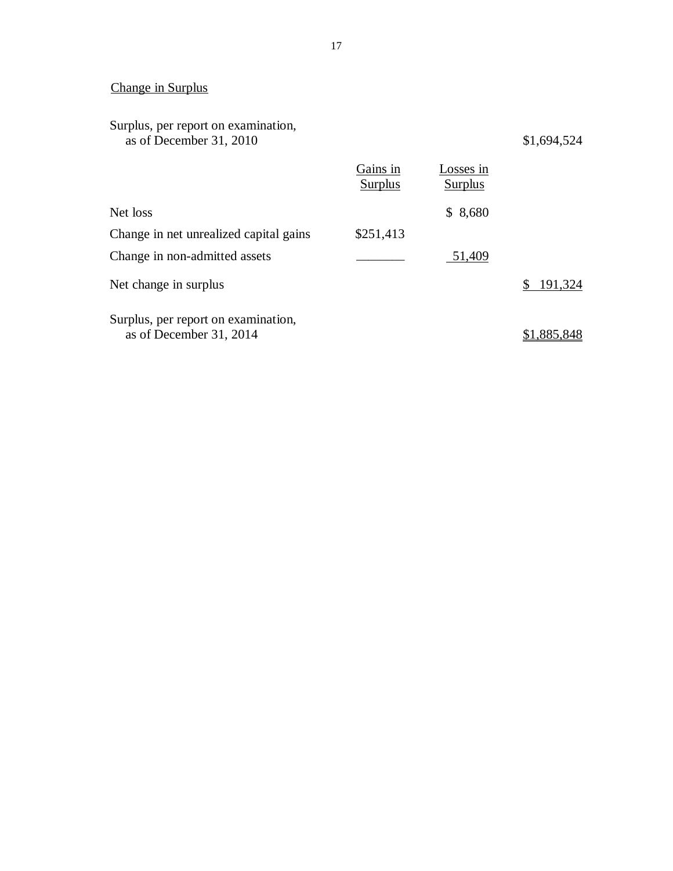#### Change in Surplus

#### Surplus, per report on examination, as of December 31, 2010 \$1,694,524

|                                                                | Gains in<br><b>Surplus</b> | Losses in<br><b>Surplus</b> |             |
|----------------------------------------------------------------|----------------------------|-----------------------------|-------------|
| Net loss                                                       |                            | \$8,680                     |             |
| Change in net unrealized capital gains                         | \$251,413                  |                             |             |
| Change in non-admitted assets                                  |                            | 51,409                      |             |
| Net change in surplus                                          |                            |                             | \$191,324   |
| Surplus, per report on examination,<br>as of December 31, 2014 |                            |                             | \$1,885,848 |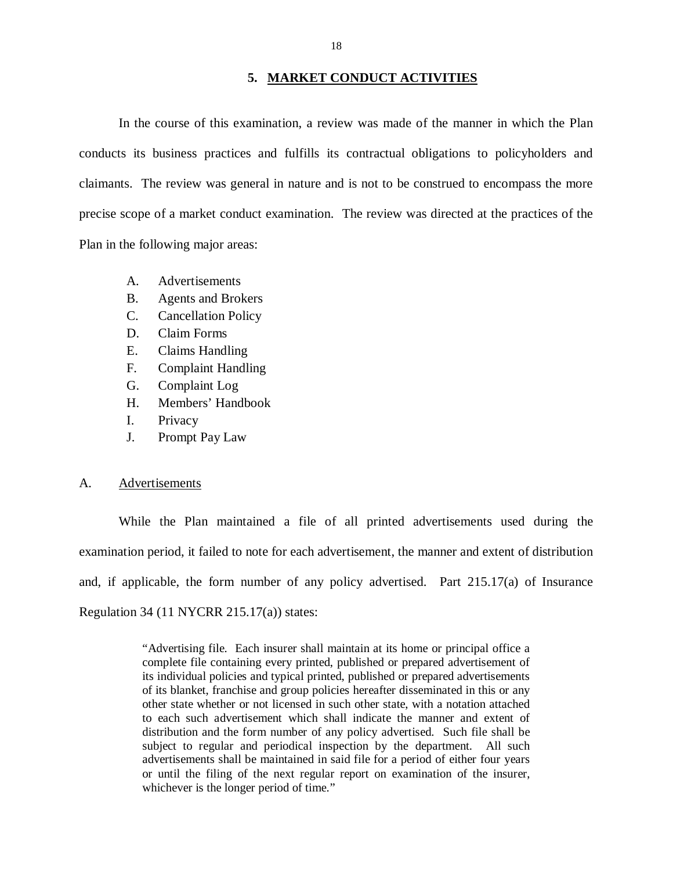#### **5. MARKET CONDUCT ACTIVITIES**

 In the course of this examination, a review was made of the manner in which the Plan conducts its business practices and fulfills its contractual obligations to policyholders and claimants. The review was general in nature and is not to be construed to encompass the more precise scope of a market conduct examination. The review was directed at the practices of the Plan in the following major areas:

- A. Advertisements
- B. Agents and Brokers
- C. Cancellation Policy
- D. Claim Forms
- E. Claims Handling
- F. Complaint Handling
- G. Complaint Log
- H. Members' Handbook
- I. Privacy
- J. Prompt Pay Law

#### A. Advertisements

 While the Plan maintained a file of all printed advertisements used during the examination period, it failed to note for each advertisement, the manner and extent of distribution and, if applicable, the form number of any policy advertised. Part 215.17(a) of Insurance Regulation 34 (11 NYCRR 215.17(a)) states:

> "Advertising file. Each insurer shall maintain at its home or principal office a complete file containing every printed, published or prepared advertisement of its individual policies and typical printed, published or prepared advertisements of its blanket, franchise and group policies hereafter disseminated in this or any other state whether or not licensed in such other state, with a notation attached to each such advertisement which shall indicate the manner and extent of distribution and the form number of any policy advertised. Such file shall be subject to regular and periodical inspection by the department. All such advertisements shall be maintained in said file for a period of either four years or until the filing of the next regular report on examination of the insurer, whichever is the longer period of time."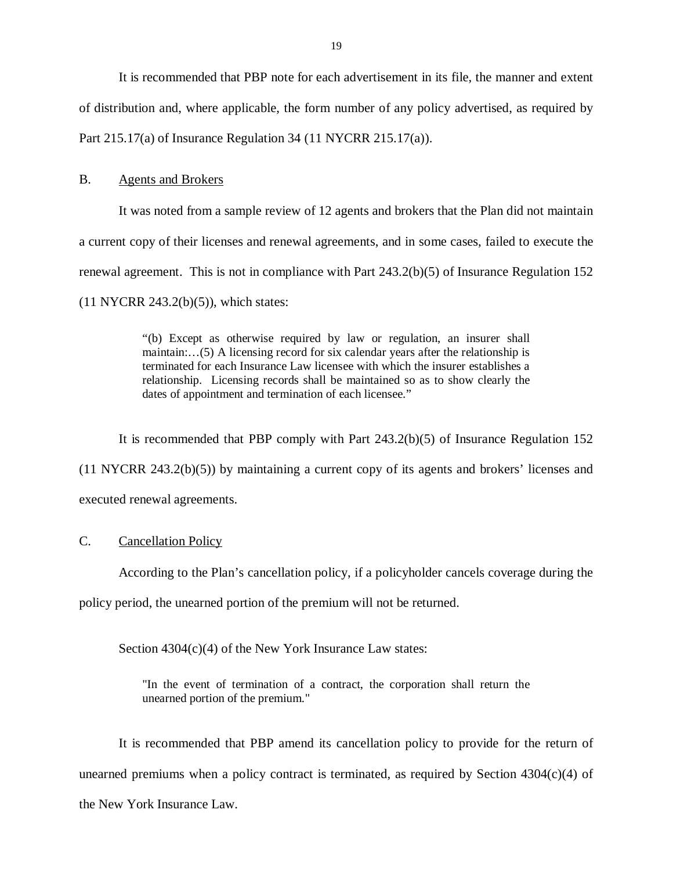It is recommended that PBP note for each advertisement in its file, the manner and extent of distribution and, where applicable, the form number of any policy advertised, as required by Part 215.17(a) of Insurance Regulation 34 (11 NYCRR 215.17(a)).

#### **B.** Agents and Brokers

 It was noted from a sample review of 12 agents and brokers that the Plan did not maintain a current copy of their licenses and renewal agreements, and in some cases, failed to execute the renewal agreement. This is not in compliance with Part 243.2(b)(5) of Insurance Regulation 152 (11 NYCRR 243.2(b)(5)), which states:

> "(b) Except as otherwise required by law or regulation, an insurer shall maintain:…(5) A licensing record for six calendar years after the relationship is terminated for each Insurance Law licensee with which the insurer establishes a relationship. Licensing records shall be maintained so as to show clearly the dates of appointment and termination of each licensee."

 It is recommended that PBP comply with Part 243.2(b)(5) of Insurance Regulation 152 (11 NYCRR 243.2(b)(5)) by maintaining a current copy of its agents and brokers' licenses and executed renewal agreements.

#### C. Cancellation Policy

According to the Plan's cancellation policy, if a policyholder cancels coverage during the

policy period, the unearned portion of the premium will not be returned.

Section 4304(c)(4) of the New York Insurance Law states:

 "In the event of termination of a contract, the corporation shall return the unearned portion of the premium."

 It is recommended that PBP amend its cancellation policy to provide for the return of unearned premiums when a policy contract is terminated, as required by Section 4304(c)(4) of the New York Insurance Law.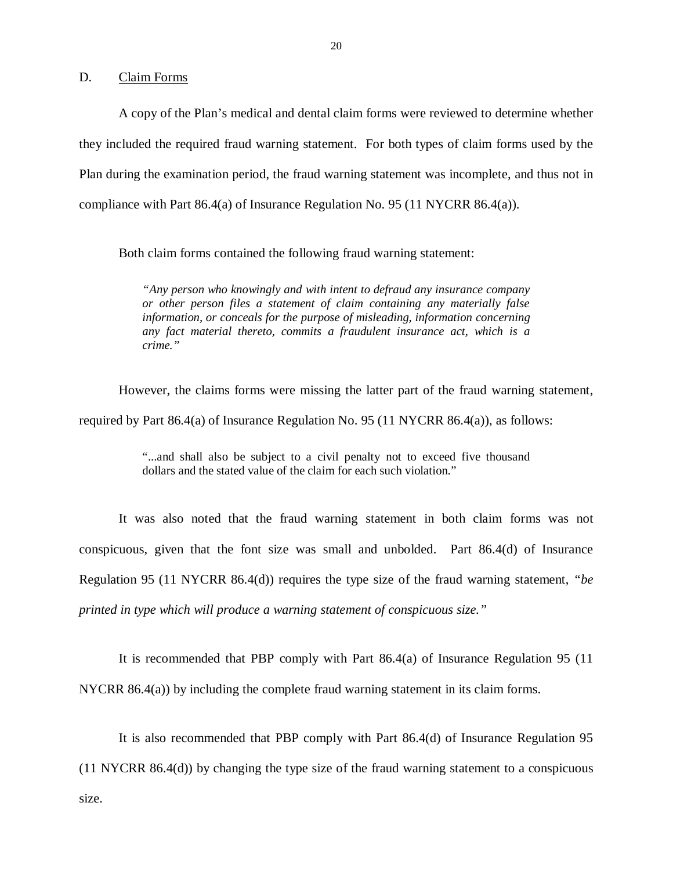D. Claim Forms

 A copy of the Plan's medical and dental claim forms were reviewed to determine whether they included the required fraud warning statement. For both types of claim forms used by the Plan during the examination period, the fraud warning statement was incomplete, and thus not in compliance with Part 86.4(a) of Insurance Regulation No. 95 (11 NYCRR 86.4(a)).

Both claim forms contained the following fraud warning statement:

 *"Any person who knowingly and with intent to defraud any insurance company or other person files a statement of claim containing any materially false information, or conceals for the purpose of misleading, information concerning any fact material thereto, commits a fraudulent insurance act, which is a crime."* 

 However, the claims forms were missing the latter part of the fraud warning statement, required by Part 86.4(a) of Insurance Regulation No. 95 (11 NYCRR 86.4(a)), as follows:

> "...and shall also be subject to a civil penalty not to exceed five thousand dollars and the stated value of the claim for each such violation."

 It was also noted that the fraud warning statement in both claim forms was not conspicuous, given that the font size was small and unbolded. Part 86.4(d) of Insurance Regulation 95 (11 NYCRR 86.4(d)) requires the type size of the fraud warning statement, *"be printed in type which will produce a warning statement of conspicuous size."* 

It is recommended that PBP comply with Part 86.4(a) of Insurance Regulation 95 (11

NYCRR 86.4(a)) by including the complete fraud warning statement in its claim forms.

 It is also recommended that PBP comply with Part 86.4(d) of Insurance Regulation 95 (11 NYCRR 86.4(d)) by changing the type size of the fraud warning statement to a conspicuous size.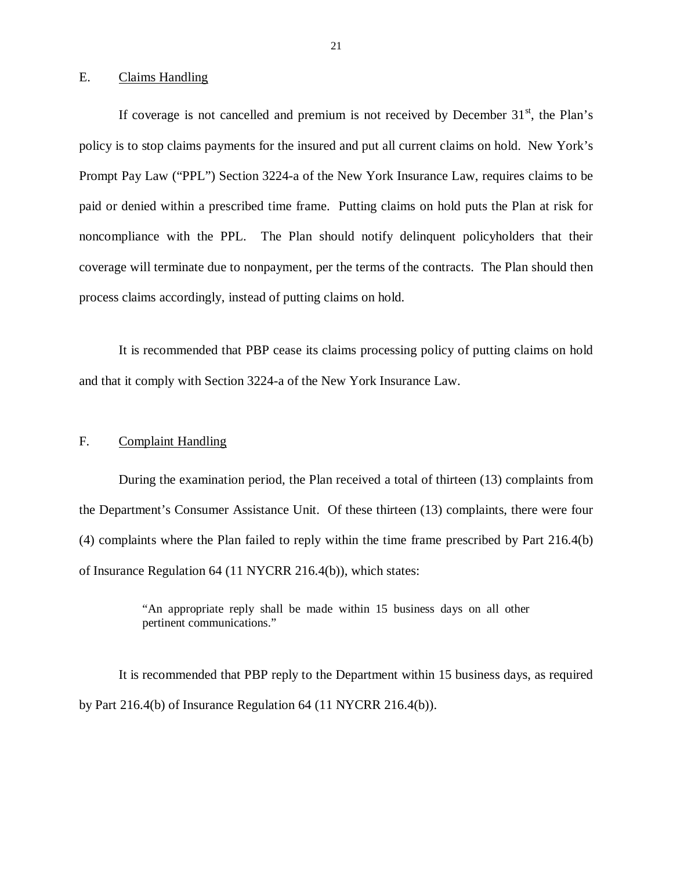#### E. Claims Handling

If coverage is not cancelled and premium is not received by December  $31<sup>st</sup>$ , the Plan's policy is to stop claims payments for the insured and put all current claims on hold. New York's Prompt Pay Law ("PPL") Section 3224-a of the New York Insurance Law, requires claims to be paid or denied within a prescribed time frame. Putting claims on hold puts the Plan at risk for noncompliance with the PPL. The Plan should notify delinquent policyholders that their coverage will terminate due to nonpayment, per the terms of the contracts. The Plan should then process claims accordingly, instead of putting claims on hold.

 It is recommended that PBP cease its claims processing policy of putting claims on hold and that it comply with Section 3224-a of the New York Insurance Law.

#### F. Complaint Handling

 During the examination period, the Plan received a total of thirteen (13) complaints from the Department's Consumer Assistance Unit. Of these thirteen (13) complaints, there were four (4) complaints where the Plan failed to reply within the time frame prescribed by Part 216.4(b) of Insurance Regulation 64 (11 NYCRR 216.4(b)), which states:

> "An appropriate reply shall be made within 15 business days on all other pertinent communications."

 It is recommended that PBP reply to the Department within 15 business days, as required by Part 216.4(b) of Insurance Regulation 64 (11 NYCRR 216.4(b)).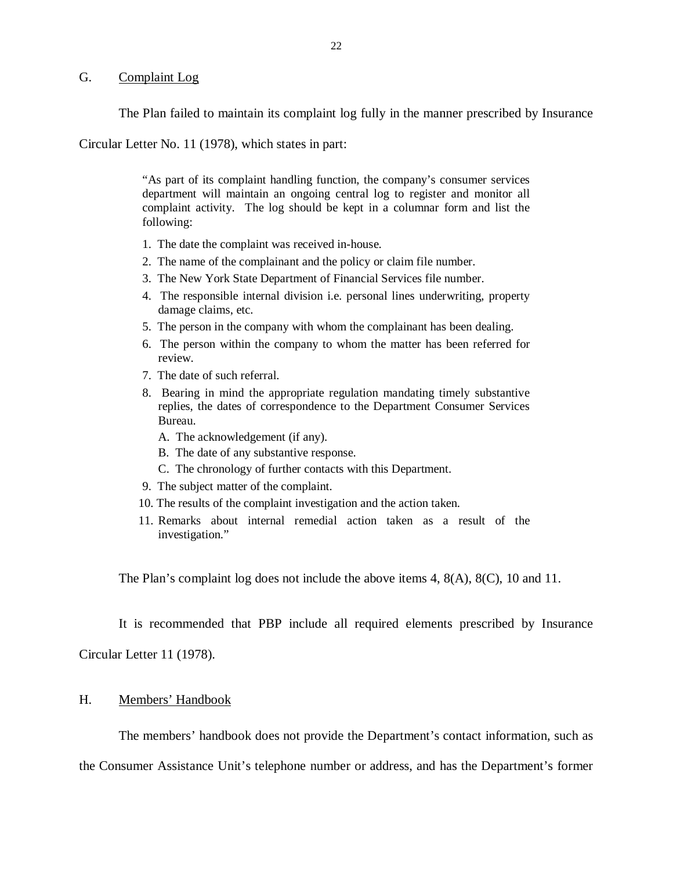#### G. Complaint Log

The Plan failed to maintain its complaint log fully in the manner prescribed by Insurance

Circular Letter No. 11 (1978), which states in part:

 "As part of its complaint handling function, the company's consumer services department will maintain an ongoing central log to register and monitor all complaint activity. The log should be kept in a columnar form and list the following:

- 1. The date the complaint was received in-house.
- 2. The name of the complainant and the policy or claim file number.
- 3. The New York State Department of Financial Services file number.
- 4. The responsible internal division i.e. personal lines underwriting, property damage claims, etc.
- 5. The person in the company with whom the complainant has been dealing.
- 6. The person within the company to whom the matter has been referred for review. review.<br>7. The date of such referral.
- 
- 8. Bearing in mind the appropriate regulation mandating timely substantive replies, the dates of correspondence to the Department Consumer Services Bureau.
	- A. The acknowledgement (if any).
	- B. The date of any substantive response.
	- C. The chronology of further contacts with this Department.
- 9. The subject matter of the complaint.
- 10. The results of the complaint investigation and the action taken.
- 11. Remarks about internal remedial action taken as a result of the investigation."

The Plan's complaint log does not include the above items 4, 8(A), 8(C), 10 and 11.

It is recommended that PBP include all required elements prescribed by Insurance

Circular Letter 11 (1978).

#### H. Members' Handbook

The members' handbook does not provide the Department's contact information, such as

the Consumer Assistance Unit's telephone number or address, and has the Department's former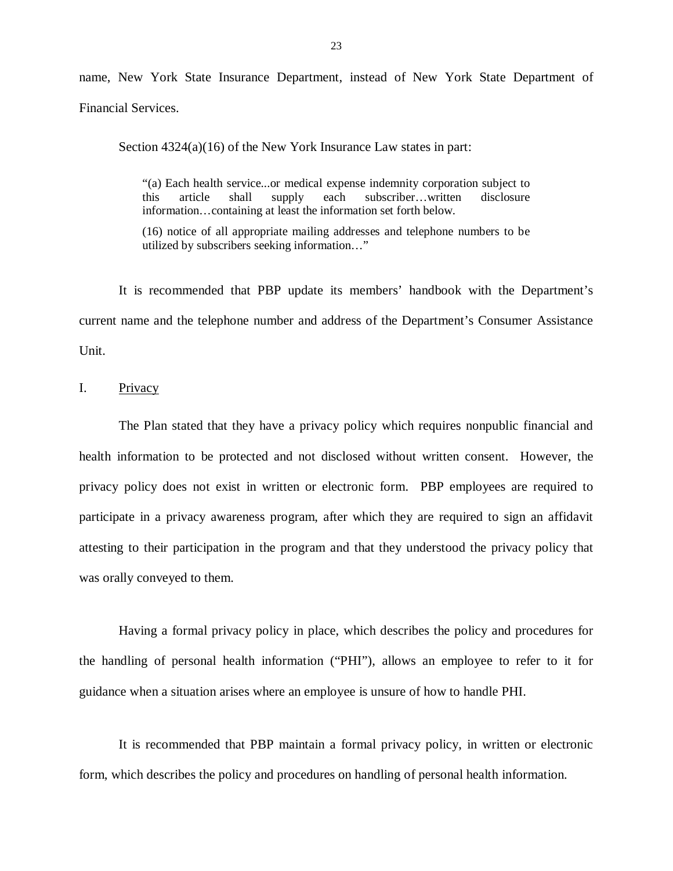name, New York State Insurance Department, instead of New York State Department of Financial Services.

Section 4324(a)(16) of the New York Insurance Law states in part:

 "(a) Each health service...or medical expense indemnity corporation subject to this information…containing at least the information set forth below. article shall supply each subscriber…written disclosure

 (16) notice of all appropriate mailing addresses and telephone numbers to be utilized by subscribers seeking information…"

 It is recommended that PBP update its members' handbook with the Department's current name and the telephone number and address of the Department's Consumer Assistance Unit.

I. Privacy

 The Plan stated that they have a privacy policy which requires nonpublic financial and health information to be protected and not disclosed without written consent. However, the privacy policy does not exist in written or electronic form. PBP employees are required to participate in a privacy awareness program, after which they are required to sign an affidavit attesting to their participation in the program and that they understood the privacy policy that was orally conveyed to them.

 Having a formal privacy policy in place, which describes the policy and procedures for the handling of personal health information ("PHI"), allows an employee to refer to it for guidance when a situation arises where an employee is unsure of how to handle PHI.

 It is recommended that PBP maintain a formal privacy policy, in written or electronic form, which describes the policy and procedures on handling of personal health information.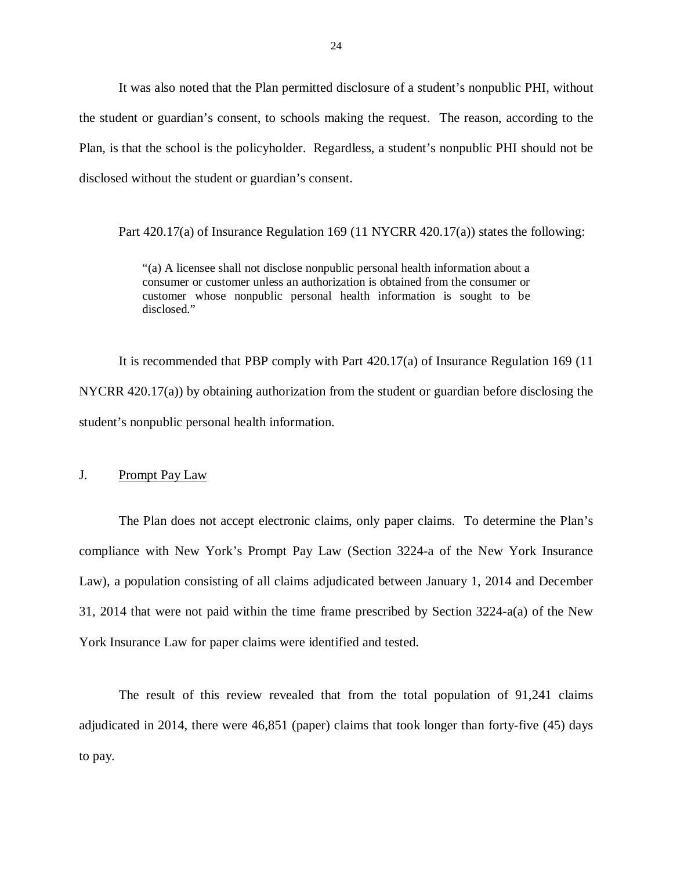It was also noted that the Plan permitted disclosure of a student's nonpublic PHI, without the student or guardian's consent, to schools making the request. The reason, according to the Plan, is that the school is the policyholder. Regardless, a student's nonpublic PHI should not be disclosed without the student or guardian's consent.

Part 420.17(a) of Insurance Regulation 169 (11 NYCRR 420.17(a)) states the following:

 "(a) A licensee shall not disclose nonpublic personal health information about a consumer or customer unless an authorization is obtained from the consumer or customer whose nonpublic personal health information is sought to be disclosed."

 It is recommended that PBP comply with Part 420.17(a) of Insurance Regulation 169 (11 NYCRR 420.17(a)) by obtaining authorization from the student or guardian before disclosing the student's nonpublic personal health information.

J. Prompt Pay Law

 The Plan does not accept electronic claims, only paper claims. To determine the Plan's compliance with New York's Prompt Pay Law (Section 3224-a of the New York Insurance Law), a population consisting of all claims adjudicated between January 1, 2014 and December 31, 2014 that were not paid within the time frame prescribed by Section 3224-a(a) of the New York Insurance Law for paper claims were identified and tested.

 The result of this review revealed that from the total population of 91,241 claims adjudicated in 2014, there were 46,851 (paper) claims that took longer than forty-five (45) days to pay.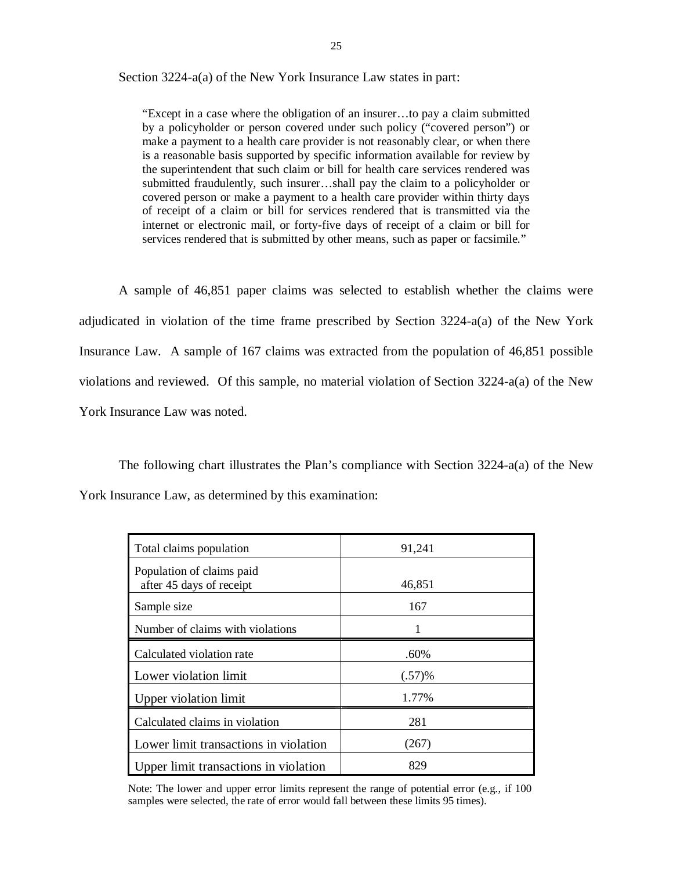Section 3224-a(a) of the New York Insurance Law states in part:

 "Except in a case where the obligation of an insurer…to pay a claim submitted by a policyholder or person covered under such policy ("covered person") or make a payment to a health care provider is not reasonably clear, or when there is a reasonable basis supported by specific information available for review by the superintendent that such claim or bill for health care services rendered was submitted fraudulently, such insurer…shall pay the claim to a policyholder or covered person or make a payment to a health care provider within thirty days of receipt of a claim or bill for services rendered that is transmitted via the internet or electronic mail, or forty-five days of receipt of a claim or bill for services rendered that is submitted by other means, such as paper or facsimile."

 A sample of 46,851 paper claims was selected to establish whether the claims were adjudicated in violation of the time frame prescribed by Section 3224-a(a) of the New York Insurance Law. A sample of 167 claims was extracted from the population of 46,851 possible violations and reviewed. Of this sample, no material violation of Section 3224-a(a) of the New York Insurance Law was noted.

 The following chart illustrates the Plan's compliance with Section 3224-a(a) of the New York Insurance Law, as determined by this examination:

| Total claims population                               | 91,241    |
|-------------------------------------------------------|-----------|
| Population of claims paid<br>after 45 days of receipt | 46,851    |
| Sample size                                           | 167       |
| Number of claims with violations                      |           |
| Calculated violation rate                             | .60%      |
| Lower violation limit                                 | $(.57)$ % |
| Upper violation limit                                 | 1.77%     |
| Calculated claims in violation                        | 281       |
| Lower limit transactions in violation                 | (267)     |
| Upper limit transactions in violation                 | 829       |

 Note: The lower and upper error limits represent the range of potential error (e.g., if 100 samples were selected, the rate of error would fall between these limits 95 times).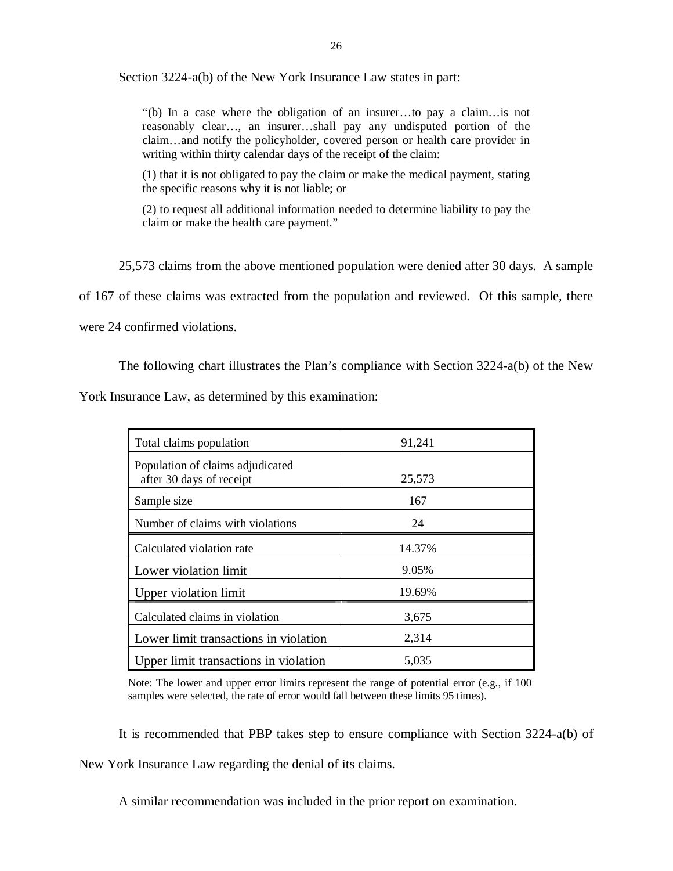Section 3224-a(b) of the New York Insurance Law states in part:

 "(b) In a case where the obligation of an insurer…to pay a claim…is not reasonably clear…, an insurer…shall pay any undisputed portion of the claim…and notify the policyholder, covered person or health care provider in writing within thirty calendar days of the receipt of the claim:

 (1) that it is not obligated to pay the claim or make the medical payment, stating the specific reasons why it is not liable; or

 (2) to request all additional information needed to determine liability to pay the claim or make the health care payment."

 25,573 claims from the above mentioned population were denied after 30 days. A sample of 167 of these claims was extracted from the population and reviewed. Of this sample, there were 24 confirmed violations.

The following chart illustrates the Plan's compliance with Section 3224-a(b) of the New

York Insurance Law, as determined by this examination:

| Total claims population                                      | 91,241 |
|--------------------------------------------------------------|--------|
| Population of claims adjudicated<br>after 30 days of receipt | 25,573 |
| Sample size                                                  | 167    |
| Number of claims with violations                             | 24     |
| Calculated violation rate                                    | 14.37% |
| Lower violation limit                                        | 9.05%  |
| Upper violation limit                                        | 19.69% |
| Calculated claims in violation                               | 3,675  |
| Lower limit transactions in violation                        | 2,314  |
| Upper limit transactions in violation                        | 5,035  |

 Note: The lower and upper error limits represent the range of potential error (e.g., if 100 samples were selected, the rate of error would fall between these limits 95 times).

It is recommended that PBP takes step to ensure compliance with Section 3224-a(b) of

New York Insurance Law regarding the denial of its claims.

A similar recommendation was included in the prior report on examination.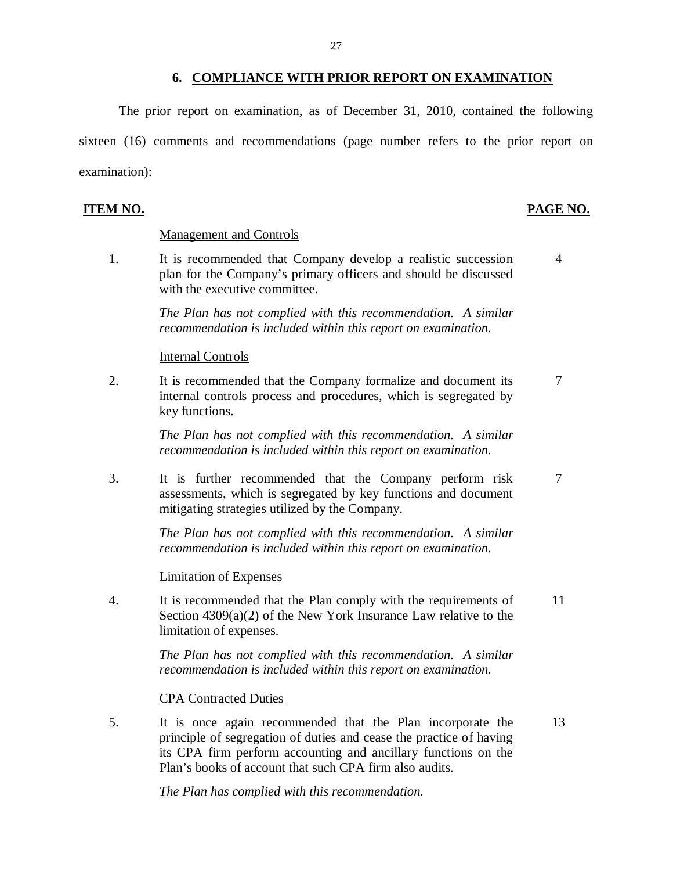#### **6. COMPLIANCE WITH PRIOR REPORT ON EXAMINATION**

 The prior report on examination, as of December 31, 2010, contained the following sixteen (16) comments and recommendations (page number refers to the prior report on examination):

#### **ITEM NO.**

#### PAGE NO.

#### Management and Controls

 $\mathbf{1}$ . plan for the Company's primary officers and should be discussed with the executive committee. It is recommended that Company develop a realistic succession 4

> *The Plan has not complied with this recommendation. A similar recommendation is included within this report on examination.*

#### Internal Controls

 $\overline{2}$ . internal controls process and procedures, which is segregated by key functions. It is recommended that the Company formalize and document its  $\frac{7}{10}$ 

> *The Plan has not complied with this recommendation. A similar recommendation is included within this report on examination.*

 $\overline{3}$ . assessments, which is segregated by key functions and document mitigating strategies utilized by the Company. It is further recommended that the Company perform risk 7

> *The Plan has not complied with this recommendation. A similar recommendation is included within this report on examination.*

#### Limitation of Expenses

 $\overline{4}$ . Section 4309(a)(2) of the New York Insurance Law relative to the limitation of expenses. It is recommended that the Plan comply with the requirements of 11

> *The Plan has not complied with this recommendation. A similar recommendation is included within this report on examination.*

#### CPA Contracted Duties

 $5<sub>1</sub>$  principle of segregation of duties and cease the practice of having its CPA firm perform accounting and ancillary functions on the Plan's books of account that such CPA firm also audits. It is once again recommended that the Plan incorporate the 13

 *The Plan has complied with this recommendation.*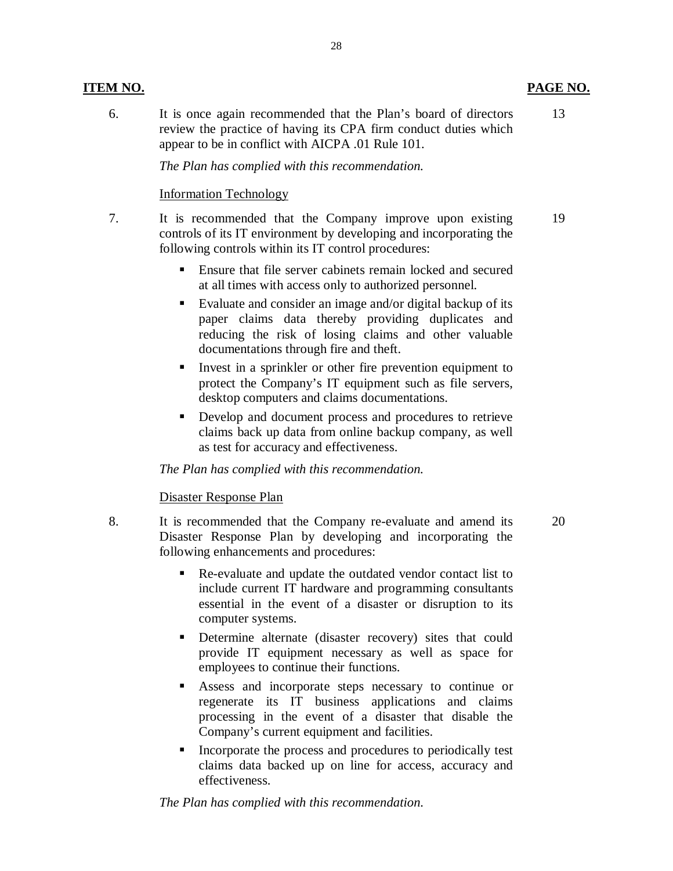#### **ITEM NO.**

6. review the practice of having its CPA firm conduct duties which appear to be in conflict with AICPA .01 Rule 101. It is once again recommended that the Plan's board of directors

 *The Plan has complied with this recommendation.* 

#### Information Technology

- $7<sub>1</sub>$  controls of its IT environment by developing and incorporating the following controls within its IT control procedures: It is recommended that the Company improve upon existing
	- Ensure that file server cabinets remain locked and secured at all times with access only to authorized personnel.
	- Evaluate and consider an image and/or digital backup of its paper claims data thereby providing duplicates and reducing the risk of losing claims and other valuable documentations through fire and theft.
	- Invest in a sprinkler or other fire prevention equipment to protect the Company's IT equipment such as file servers, desktop computers and claims documentations.
	- **•** Develop and document process and procedures to retrieve claims back up data from online backup company, as well as test for accuracy and effectiveness.

#### *The Plan has complied with this recommendation.*

### Disaster Response Plan

- 8. Disaster Response Plan by developing and incorporating the It is recommended that the Company re-evaluate and amend its following enhancements and procedures:
	- Re-evaluate and update the outdated vendor contact list to include current IT hardware and programming consultants essential in the event of a disaster or disruption to its computer systems.
	- **Determine alternate (disaster recovery) sites that could**  provide IT equipment necessary as well as space for employees to continue their functions.
	- Assess and incorporate steps necessary to continue or regenerate its IT business applications and claims processing in the event of a disaster that disable the Company's current equipment and facilities.
	- **Incorporate the process and procedures to periodically test**  claims data backed up on line for access, accuracy and effectiveness.

 *The Plan has complied with this recommendation.* 

28

13

20

19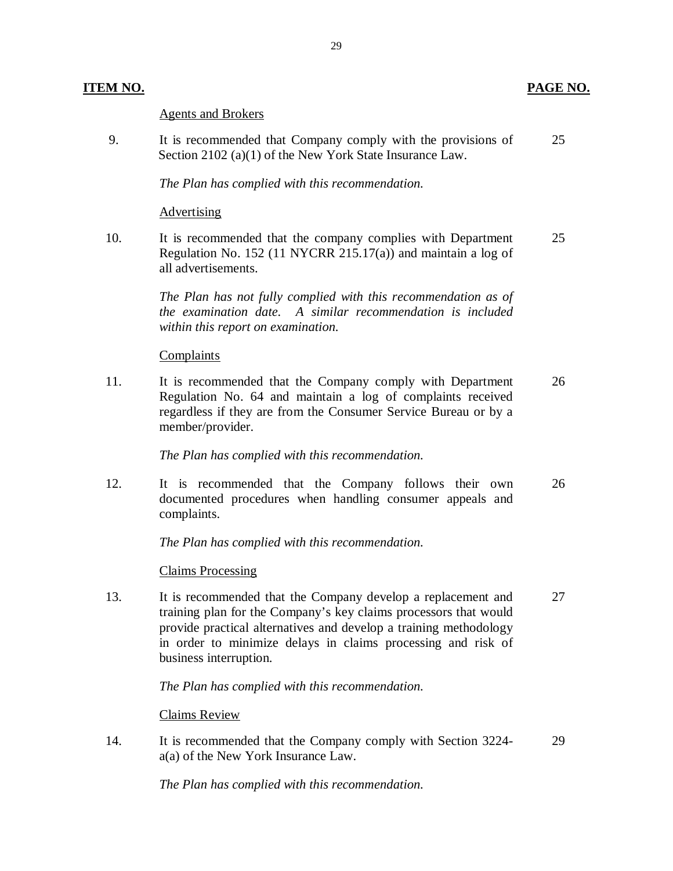#### **ITEM NO.**

#### Agents and Brokers

9. Section 2102 (a)(1) of the New York State Insurance Law. It is recommended that Company comply with the provisions of 25

29

#### *The Plan has complied with this recommendation.*

#### **Advertising**

 $10.$  Regulation No. 152 (11 NYCRR 215.17(a)) and maintain a log of It is recommended that the company complies with Department 25 all advertisements.

> *The Plan has not fully complied with this recommendation as of the examination date. A similar recommendation is included within this report on examination.*

#### **Complaints**

 $11.$  Regulation No. 64 and maintain a log of complaints received regardless if they are from the Consumer Service Bureau or by a It is recommended that the Company comply with Department 26 member/provider.

 *The Plan has complied with this recommendation.* 

12. documented procedures when handling consumer appeals and It is recommended that the Company follows their own 26 complaints.

 *The Plan has complied with this recommendation.* 

#### Claims Processing

13. training plan for the Company's key claims processors that would provide practical alternatives and develop a training methodology in order to minimize delays in claims processing and risk of It is recommended that the Company develop a replacement and 27 business interruption.

 *The Plan has complied with this recommendation.* 

#### Claims Review

 $14$  a(a) of the New York Insurance Law. It is recommended that the Company comply with Section 3224- 29

 *The Plan has complied with this recommendation.*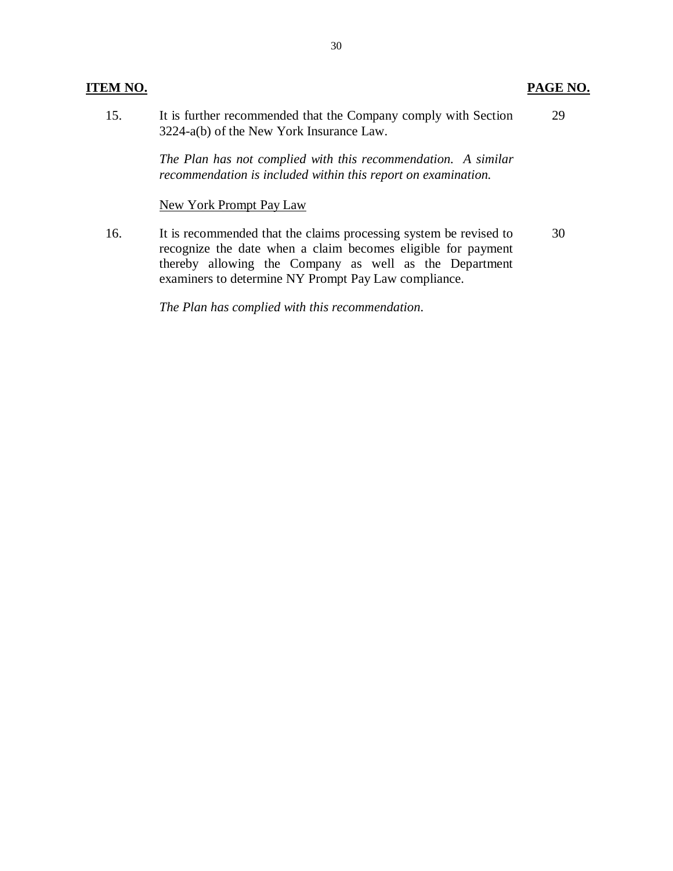#### **ITEM NO.**

#### 15. 3224-a(b) of the New York Insurance Law. It is further recommended that the Company comply with Section 29

 *The Plan has not complied with this recommendation. A similar recommendation is included within this report on examination.* 

#### New York Prompt Pay Law

16. recognize the date when a claim becomes eligible for payment thereby allowing the Company as well as the Department examiners to determine NY Prompt Pay Law compliance. It is recommended that the claims processing system be revised to 30

 *The Plan has complied with this recommendation.* 

**PAGE NO.**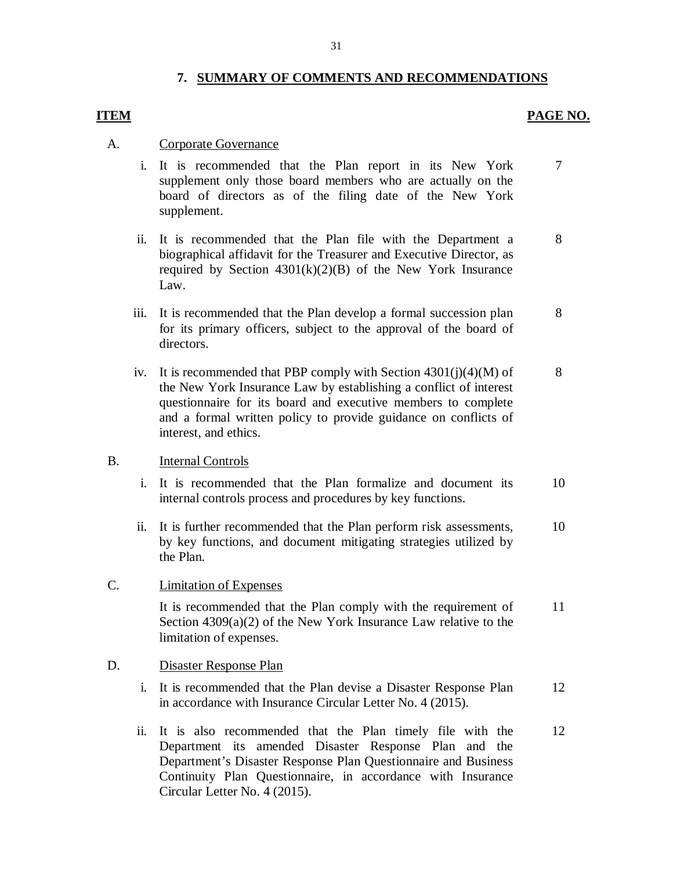### **7. SUMMARY OF COMMENTS AND RECOMMENDATIONS**

#### **PAGE NO. PAGE NO.**

#### A. Corporate Governance

- i. It is recommended that the Plan report in its New York supplement only those board members who are actually on the board of directors as of the filing date of the New York supplement. 7
- ii. It is recommended that the Plan file with the Department a biographical affidavit for the Treasurer and Executive Director, as required by Section  $4301(k)(2)(B)$  of the New York Insurance Law. 8
- iii. It is recommended that the Plan develop a formal succession plan for its primary officers, subject to the approval of the board of directors. 8
- iv. It is recommended that PBP comply with Section 4301(j)(4)(M) of the New York Insurance Law by establishing a conflict of interest questionnaire for its board and executive members to complete and a formal written policy to provide guidance on conflicts of interest, and ethics. 8

#### B. **Internal Controls**

- i. It is recommended that the Plan formalize and document its internal controls process and procedures by key functions. 10
- ii. It is further recommended that the Plan perform risk assessments, by key functions, and document mitigating strategies utilized by the Plan. 10

#### C. **Limitation of Expenses**

 It is recommended that the Plan comply with the requirement of Section 4309(a)(2) of the New York Insurance Law relative to the limitation of expenses. 11

#### D. Disaster Response Plan

- i. It is recommended that the Plan devise a Disaster Response Plan in accordance with Insurance Circular Letter No. 4 (2015). 12
- ii. It is also recommended that the Plan timely file with the Department its amended Disaster Response Plan and the Department's Disaster Response Plan Questionnaire and Business Continuity Plan Questionnaire, in accordance with Insurance Circular Letter No. 4 (2015). 12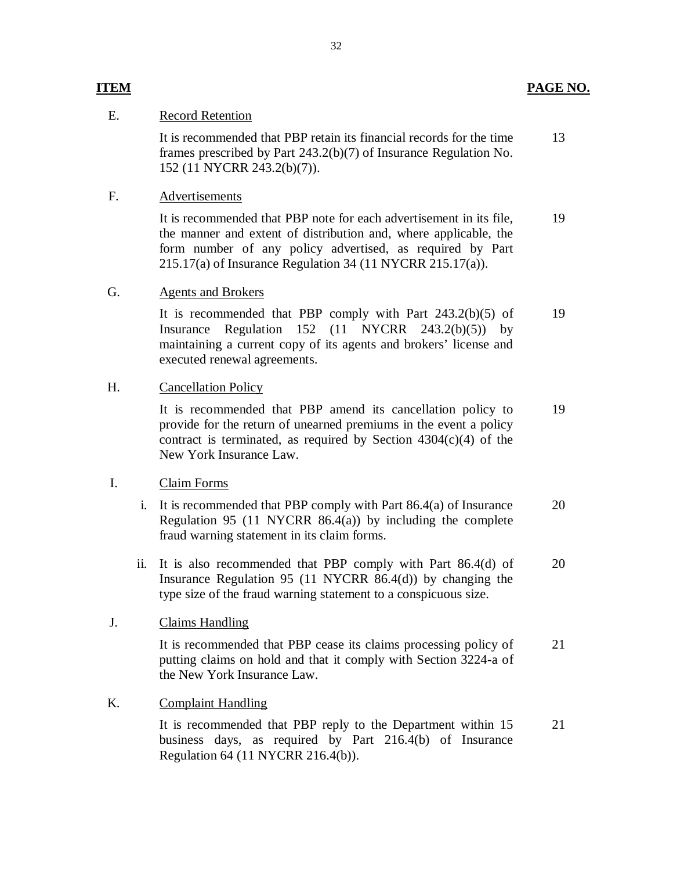#### E. Record Retention

 frames prescribed by Part 243.2(b)(7) of Insurance Regulation No. It is recommended that PBP retain its financial records for the time 152 (11 NYCRR 243.2(b)(7)). 13

#### F. Advertisements

 It is recommended that PBP note for each advertisement in its file, the manner and extent of distribution and, where applicable, the form number of any policy advertised, as required by Part 215.17(a) of Insurance Regulation 34 (11 NYCRR 215.17(a)). 19

#### G. Agents and Brokers

 It is recommended that PBP comply with Part 243.2(b)(5) of Insurance Regulation 152 (11 NYCRR 243.2(b)(5)) by maintaining a current copy of its agents and brokers' license and executed renewal agreements. 19

#### H. Cancellation Policy

 It is recommended that PBP amend its cancellation policy to provide for the return of unearned premiums in the event a policy contract is terminated, as required by Section 4304(c)(4) of the New York Insurance Law. 19

#### I. Claim Forms

- i. It is recommended that PBP comply with Part 86.4(a) of Insurance Regulation 95 (11 NYCRR 86.4(a)) by including the complete fraud warning statement in its claim forms. 20
- ii. It is also recommended that PBP comply with Part 86.4(d) of Insurance Regulation 95 (11 NYCRR 86.4(d)) by changing the type size of the fraud warning statement to a conspicuous size. 20

#### J. Claims Handling

 It is recommended that PBP cease its claims processing policy of putting claims on hold and that it comply with Section 3224-a of the New York Insurance Law. 21

#### K. Complaint Handling

 It is recommended that PBP reply to the Department within 15 business days, as required by Part 216.4(b) of Insurance Regulation 64 (11 NYCRR 216.4(b)). 21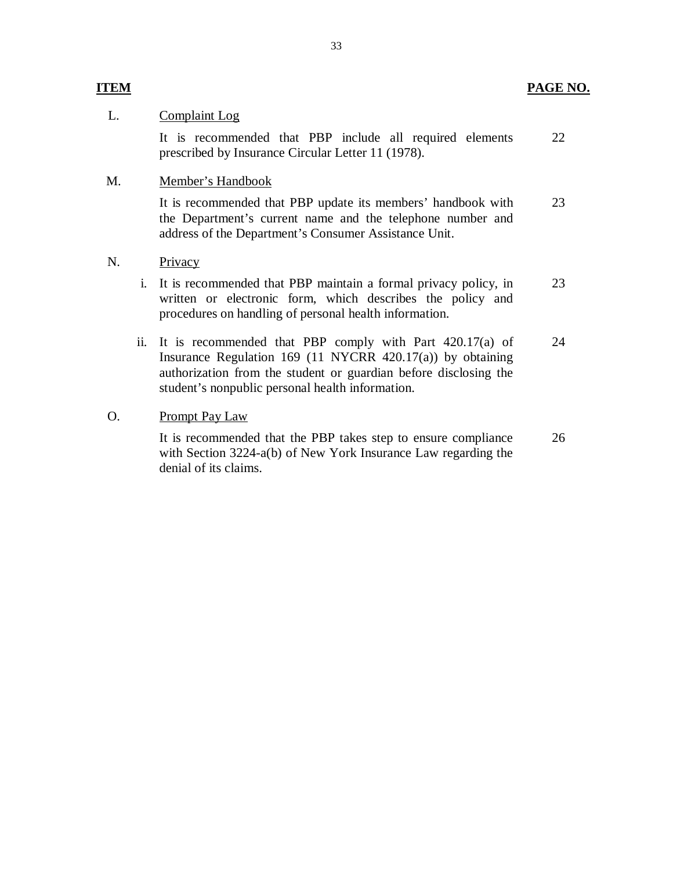#### **ITEM PAGE NO.**

#### L. Complaint Log

 It is recommended that PBP include all required elements 22 prescribed by Insurance Circular Letter 11 (1978).

#### M. **Member's Handbook**

 It is recommended that PBP update its members' handbook with the Department's current name and the telephone number and address of the Department's Consumer Assistance Unit. 23

#### N. Privacy

- i. It is recommended that PBP maintain a formal privacy policy, in written or electronic form, which describes the policy and procedures on handling of personal health information. 23
- ii. It is recommended that PBP comply with Part 420.17(a) of Insurance Regulation 169 (11 NYCRR 420.17(a)) by obtaining authorization from the student or guardian before disclosing the student's nonpublic personal health information. 24

#### O. Prompt Pay Law

 It is recommended that the PBP takes step to ensure compliance with Section 3224-a(b) of New York Insurance Law regarding the denial of its claims. 26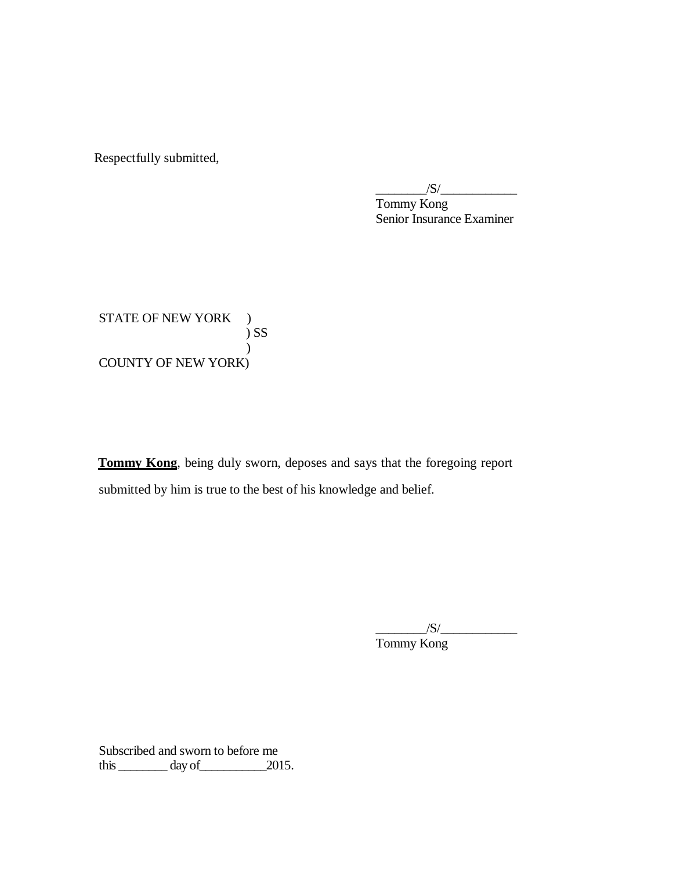Respectfully submitted,

 Tommy Kong Senior Insurance Examiner  $/S/\sim$ 

STATE OF NEW YORK ) COUNTY OF NEW YORK) ) SS )

 **Tommy Kong**, being duly sworn, deposes and says that the foregoing report submitted by him is true to the best of his knowledge and belief.

> Tommy Kong  $\frac{1}{\sqrt{S}}$

 Subscribed and sworn to before me this  $\_\_\_\_\_\_\$  day of  $\_\_\_\_\_\$  2015.